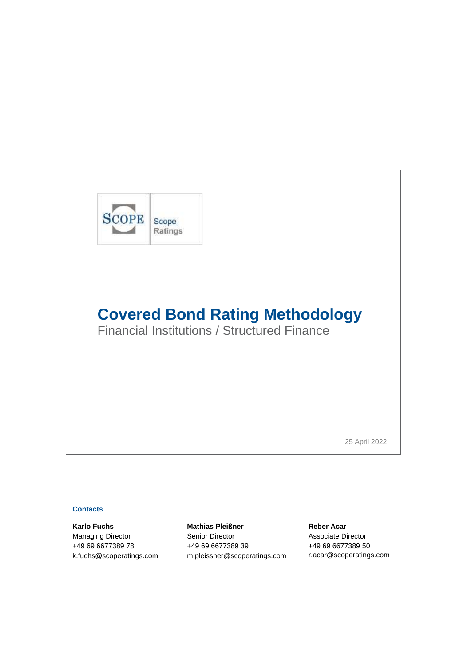

Financial Institutions / Structured Finance

25 April 2022

#### **Contacts**

**Karlo Fuchs Mathias Pleißner Reber Acar** Managing Director **Senior Director** Senior Contractor Associate Director +49 69 6677389 78 +49 69 6677389 39 +49 69 6677389 50 [k.fuchs@scoperatings.com](mailto:k.fuchs@scoperatings.com) [m.pleissner@scoperatings.com](mailto:m.pleissner@scoperatings.com) [r.acar@scoperatings.com](mailto:r.acar@scoperatings.comv)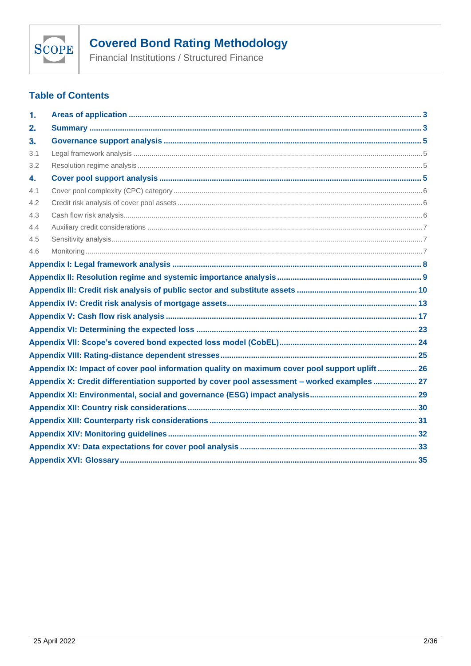

Financial Institutions / Structured Finance

### **Table of Contents**

| 1.  |                                                                                               |  |
|-----|-----------------------------------------------------------------------------------------------|--|
| 2.  |                                                                                               |  |
| з.  |                                                                                               |  |
| 3.1 |                                                                                               |  |
| 3.2 |                                                                                               |  |
| 4.  |                                                                                               |  |
| 4.1 |                                                                                               |  |
| 4.2 |                                                                                               |  |
| 4.3 |                                                                                               |  |
| 4.4 |                                                                                               |  |
| 4.5 |                                                                                               |  |
| 4.6 |                                                                                               |  |
|     |                                                                                               |  |
|     |                                                                                               |  |
|     |                                                                                               |  |
|     |                                                                                               |  |
|     |                                                                                               |  |
|     |                                                                                               |  |
|     |                                                                                               |  |
|     |                                                                                               |  |
|     | Appendix IX: Impact of cover pool information quality on maximum cover pool support uplift 26 |  |
|     | Appendix X: Credit differentiation supported by cover pool assessment - worked examples 27    |  |
|     |                                                                                               |  |
|     |                                                                                               |  |
|     |                                                                                               |  |
|     |                                                                                               |  |
|     |                                                                                               |  |
|     |                                                                                               |  |
|     |                                                                                               |  |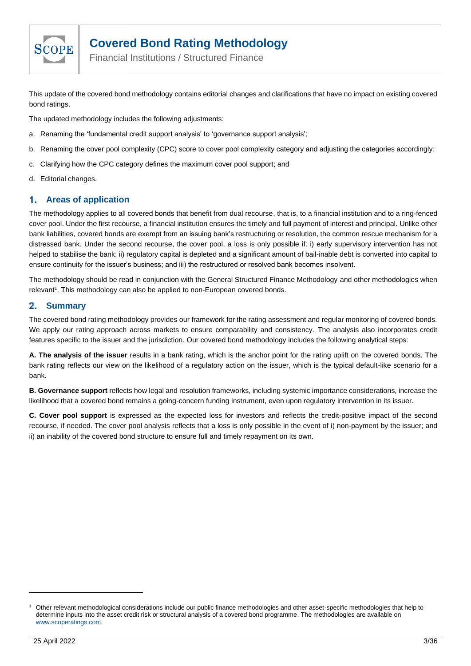

Financial Institutions / Structured Finance

This update of the covered bond methodology contains editorial changes and clarifications that have no impact on existing covered bond ratings.

The updated methodology includes the following adjustments:

- a. Renaming the 'fundamental credit support analysis' to 'governance support analysis';
- b. Renaming the cover pool complexity (CPC) score to cover pool complexity category and adjusting the categories accordingly;
- c. Clarifying how the CPC category defines the maximum cover pool support; and
- d. Editorial changes.

#### <span id="page-2-0"></span>1. **Areas of application**

The methodology applies to all covered bonds that benefit from dual recourse, that is, to a financial institution and to a ring-fenced cover pool. Under the first recourse, a financial institution ensures the timely and full payment of interest and principal. Unlike other bank liabilities, covered bonds are exempt from an issuing bank's restructuring or resolution, the common rescue mechanism for a distressed bank. Under the second recourse, the cover pool, a loss is only possible if: i) early supervisory intervention has not helped to stabilise the bank; ii) regulatory capital is depleted and a significant amount of bail-inable debt is converted into capital to ensure continuity for the issuer's business; and iii) the restructured or resolved bank becomes insolvent.

The methodology should be read in conjunction with the General Structured Finance Methodology and other methodologies when relevant<sup>1</sup>. This methodology can also be applied to non-European covered bonds.

#### <span id="page-2-1"></span>2. **Summary**

The covered bond rating methodology provides our framework for the rating assessment and regular monitoring of covered bonds. We apply our rating approach across markets to ensure comparability and consistency. The analysis also incorporates credit features specific to the issuer and the jurisdiction. Our covered bond methodology includes the following analytical steps:

**A. The analysis of the issuer** results in a bank rating, which is the anchor point for the rating uplift on the covered bonds. The bank rating reflects our view on the likelihood of a regulatory action on the issuer, which is the typical default-like scenario for a bank.

**B. Governance support** reflects how legal and resolution frameworks, including systemic importance considerations, increase the likelihood that a covered bond remains a going-concern funding instrument, even upon regulatory intervention in its issuer.

**C. Cover pool support** is expressed as the expected loss for investors and reflects the credit-positive impact of the second recourse, if needed. The cover pool analysis reflects that a loss is only possible in the event of i) non-payment by the issuer; and ii) an inability of the covered bond structure to ensure full and timely repayment on its own.

<sup>1</sup> Other relevant methodological considerations include our public finance methodologies and other asset-specific methodologies that help to determine inputs into the asset credit risk or structural analysis of a covered bond programme. The methodologies are available on [www.scoperatings.com.](http://www.scoperatings.com/)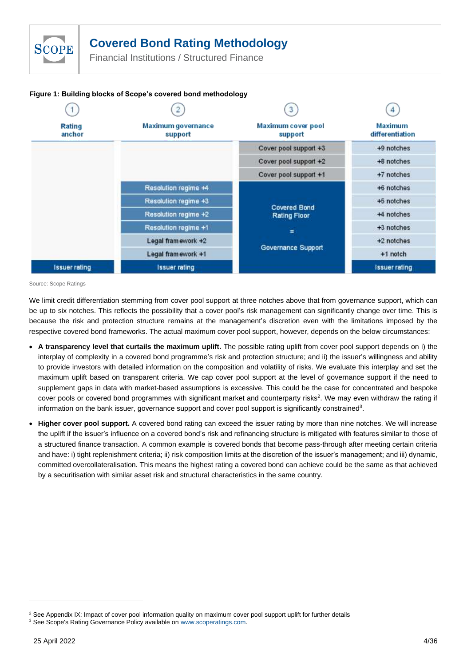Financial Institutions / Structured Finance



### **Figure 1: Building blocks of Scope's covered bond methodology**

Source: Scope Ratings

**SCOPE** 

We limit credit differentiation stemming from cover pool support at three notches above that from governance support, which can be up to six notches. This reflects the possibility that a cover pool's risk management can significantly change over time. This is because the risk and protection structure remains at the management's discretion even with the limitations imposed by the respective covered bond frameworks. The actual maximum cover pool support, however, depends on the below circumstances:

- **A transparency level that curtails the maximum uplift.** The possible rating uplift from cover pool support depends on i) the interplay of complexity in a covered bond programme's risk and protection structure; and ii) the issuer's willingness and ability to provide investors with detailed information on the composition and volatility of risks. We evaluate this interplay and set the maximum uplift based on transparent criteria. We cap cover pool support at the level of governance support if the need to supplement gaps in data with market-based assumptions is excessive. This could be the case for concentrated and bespoke cover pools or covered bond programmes with significant market and counterparty risks<sup>2</sup>. We may even withdraw the rating if information on the bank issuer, governance support and cover pool support is significantly constrained<sup>3</sup>.
- **Higher cover pool support.** A covered bond rating can exceed the issuer rating by more than nine notches. We will increase the uplift if the issuer's influence on a covered bond's risk and refinancing structure is mitigated with features similar to those of a structured finance transaction. A common example is covered bonds that become pass-through after meeting certain criteria and have: i) tight replenishment criteria; ii) risk composition limits at the discretion of the issuer's management; and iii) dynamic, committed overcollateralisation. This means the highest rating a covered bond can achieve could be the same as that achieved by a securitisation with similar asset risk and structural characteristics in the same country.

<sup>&</sup>lt;sup>2</sup> Se[e Appendix IX: Impact of cover pool information quality on maximum cover pool support uplift](#page-25-0) for further details

<sup>&</sup>lt;sup>3</sup> See Scope's Rating Governance Policy available on www.scoperatings.com.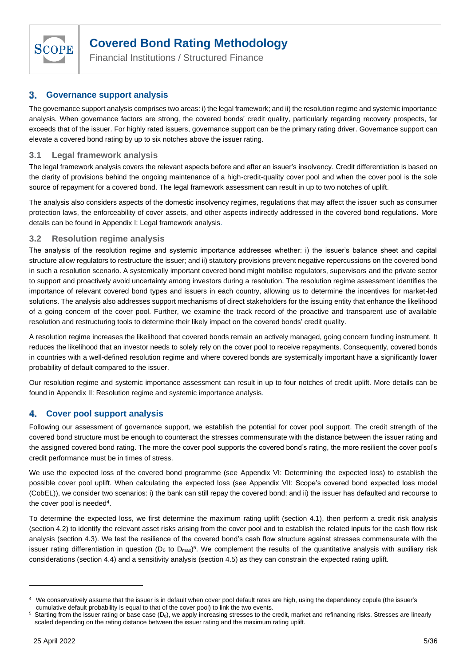

Financial Institutions / Structured Finance

#### <span id="page-4-0"></span>**Governance support analysis** 3.

The governance support analysis comprises two areas: i) the legal framework; and ii) the resolution regime and systemic importance analysis. When governance factors are strong, the covered bonds' credit quality, particularly regarding recovery prospects, far exceeds that of the issuer. For highly rated issuers, governance support can be the primary rating driver. Governance support can elevate a covered bond rating by up to six notches above the issuer rating.

### <span id="page-4-1"></span>**3.1 Legal framework analysis**

The legal framework analysis covers the relevant aspects before and after an issuer's insolvency. Credit differentiation is based on the clarity of provisions behind the ongoing maintenance of a high-credit-quality cover pool and when the cover pool is the sole source of repayment for a covered bond. The legal framework assessment can result in up to two notches of uplift.

The analysis also considers aspects of the domestic insolvency regimes, regulations that may affect the issuer such as consumer protection laws, the enforceability of cover assets, and other aspects indirectly addressed in the covered bond regulations. More details can be found in Appendix I: [Legal framework analysis.](#page-7-0)

### <span id="page-4-2"></span>**3.2 Resolution regime analysis**

The analysis of the resolution regime and systemic importance addresses whether: i) the issuer's balance sheet and capital structure allow regulators to restructure the issuer; and ii) statutory provisions prevent negative repercussions on the covered bond in such a resolution scenario. A systemically important covered bond might mobilise regulators, supervisors and the private sector to support and proactively avoid uncertainty among investors during a resolution. The resolution regime assessment identifies the importance of relevant covered bond types and issuers in each country, allowing us to determine the incentives for market-led solutions. The analysis also addresses support mechanisms of direct stakeholders for the issuing entity that enhance the likelihood of a going concern of the cover pool. Further, we examine the track record of the proactive and transparent use of available resolution and restructuring tools to determine their likely impact on the covered bonds' credit quality.

A resolution regime increases the likelihood that covered bonds remain an actively managed, going concern funding instrument. It reduces the likelihood that an investor needs to solely rely on the cover pool to receive repayments. Consequently, covered bonds in countries with a well-defined resolution regime and where covered bonds are systemically important have a significantly lower probability of default compared to the issuer.

Our resolution regime and systemic importance assessment can result in up to four notches of credit uplift. More details can be found in Appendix II: [Resolution regime and systemic importance analysis.](#page-8-0)

#### <span id="page-4-3"></span>4. **Cover pool support analysis**

Following our assessment of governance support, we establish the potential for cover pool support. The credit strength of the covered bond structure must be enough to counteract the stresses commensurate with the distance between the issuer rating and the assigned covered bond rating. The more the cover pool supports the covered bond's rating, the more resilient the cover pool's credit performance must be in times of stress.

We use the expected loss of the covered bond programme (see Appendix VI: [Determining the expected loss\)](#page-22-0) to establish the possible cover pool uplift. When calculating the expected loss (see Appendix VII: [Scope's covered bond expected loss model](#page-23-0)  [\(CobEL\)\)](#page-23-0), we consider two scenarios: i) the bank can still repay the covered bond; and ii) the issuer has defaulted and recourse to the cover pool is needed<sup>4</sup>.

To determine the expected loss, we first determine the maximum rating uplift (section 4.1), then perform a credit risk analysis (section 4.2) to identify the relevant asset risks arising from the cover pool and to establish the related inputs for the cash flow risk analysis (section 4.3). We test the resilience of the covered bond's cash flow structure against stresses commensurate with the issuer rating differentiation in question (D<sub>0</sub> to D<sub>max</sub>)<sup>5</sup>. We complement the results of the quantitative analysis with auxiliary risk considerations (section 4.4) and a sensitivity analysis (section 4.5) as they can constrain the expected rating uplift.

<sup>4</sup> We conservatively assume that the issuer is in default when cover pool default rates are high, using the dependency copula (the issuer's cumulative default probability is equal to that of the cover pool) to link the two events.

Starting from the issuer rating or base case  $(D_0)$ , we apply increasing stresses to the credit, market and refinancing risks. Stresses are linearly scaled depending on the rating distance between the issuer rating and the maximum rating uplift.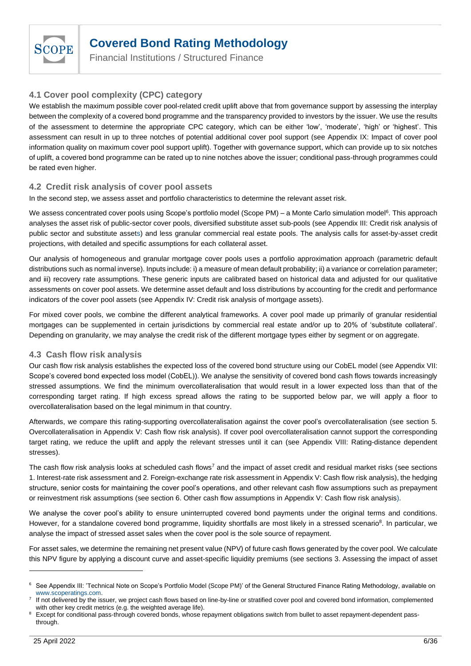

Financial Institutions / Structured Finance

### <span id="page-5-0"></span>**4.1 Cover pool complexity (CPC) category**

We establish the maximum possible cover pool-related credit uplift above that from governance support by assessing the interplay between the complexity of a covered bond programme and the transparency provided to investors by the issuer. We use the results of the assessment to determine the appropriate CPC category, which can be either 'low', 'moderate', 'high' or 'highest'. This assessment can result in up to three notches of potential additional cover pool support (see [Appendix IX: Impact of cover pool](#page-25-0)  [information quality on maximum cover pool support uplift\)](#page-25-0). Together with governance support, which can provide up to six notches of uplift, a covered bond programme can be rated up to nine notches above the issuer; conditional pass-through programmes could be rated even higher.

### <span id="page-5-1"></span>**4.2 Credit risk analysis of cover pool assets**

In the second step, we assess asset and portfolio characteristics to determine the relevant asset risk.

We assess concentrated cover pools using Scope's portfolio model (Scope PM) – a Monte Carlo simulation model<sup>6</sup>. This approach analyses the asset risk of public-sector cover pools, diversified substitute asset sub-pools (see Appendix III: [Credit risk analysis of](#page-9-0)  public [sector and substitute assets](#page-9-0)) and less granular commercial real estate pools. The analysis calls for asset-by-asset credit projections, with detailed and specific assumptions for each collateral asset.

Our analysis of homogeneous and granular mortgage cover pools uses a portfolio approximation approach (parametric default distributions such as normal inverse). Inputs include: i) a measure of mean default probability; ii) a variance or correlation parameter; and iii) recovery rate assumptions. These generic inputs are calibrated based on historical data and adjusted for our qualitative assessments on cover pool assets. We determine asset default and loss distributions by accounting for the credit and performance indicators of the cover pool assets (see Appendix IV: [Credit risk analysis of mortgage assets\)](#page-12-0).

For mixed cover pools, we combine the different analytical frameworks. A cover pool made up primarily of granular residential mortgages can be supplemented in certain jurisdictions by commercial real estate and/or up to 20% of 'substitute collateral'. Depending on granularity, we may analyse the credit risk of the different mortgage types either by segment or on aggregate.

### <span id="page-5-2"></span>**4.3 Cash flow risk analysis**

Our cash flow risk analysis establishes the expected loss of the covered bond structure using our CobEL model (se[e Appendix VII:](#page-23-0) [Scope's covered bond expected loss model \(CobEL\)\)](#page-23-0). We analyse the sensitivity of covered bond cash flows towards increasingly stressed assumptions. We find the minimum overcollateralisation that would result in a lower expected loss than that of the corresponding target rating. If high excess spread allows the rating to be supported below par, we will apply a floor to overcollateralisation based on the legal minimum in that country.

Afterwards, we compare this rating-supporting overcollateralisation against the cover pool's overcollateralisation (see section 5. Overcollateralisation in Appendix V: [Cash flow risk analysis\)](#page-16-0). If cover pool overcollateralisation cannot support the corresponding target rating, we reduce the uplift and apply the relevant stresses until it can (see [Appendix VIII: Rating-distance dependent](#page-24-0)  [stresses\)](#page-24-0).

The cash flow risk analysis looks at scheduled cash flows<sup>7</sup> and the impact of asset credit and residual market risks (see sections 1. Interest-rate risk assessment and 2. Foreign-exchange rate risk assessment in Appendix V: [Cash flow risk analysis\)](#page-16-0), the hedging structure, senior costs for maintaining the cover pool's operations, and other relevant cash flow assumptions such as prepayment or reinvestment risk assumptions (see section 6. Other cash flow assumptions in Appendix V: [Cash flow risk analysis\)](#page-16-0).

We analyse the cover pool's ability to ensure uninterrupted covered bond payments under the original terms and conditions. However, for a standalone covered bond programme, liquidity shortfalls are most likely in a stressed scenario<sup>8</sup>. In particular, we analyse the impact of stressed asset sales when the cover pool is the sole source of repayment.

For asset sales, we determine the remaining net present value (NPV) of future cash flows generated by the cover pool. We calculate this NPV figure by applying a discount curve and asset-specific liquidity premiums (see sections 3. Assessing the impact of asset

<sup>&</sup>lt;sup>6</sup> See Appendix III: 'Technical Note on Scope's Portfolio Model (Scope PM)' of the General Structured Finance Rating Methodology, available on www.scoperatings.com.

<sup>7</sup> If not delivered by the issuer, we project cash flows based on line-by-line or stratified cover pool and covered bond information, complemented with other key credit metrics (e.g. the weighted average life).

<sup>&</sup>lt;sup>8</sup> Except for conditional pass-through covered bonds, whose repayment obligations switch from bullet to asset repayment-dependent passthrough.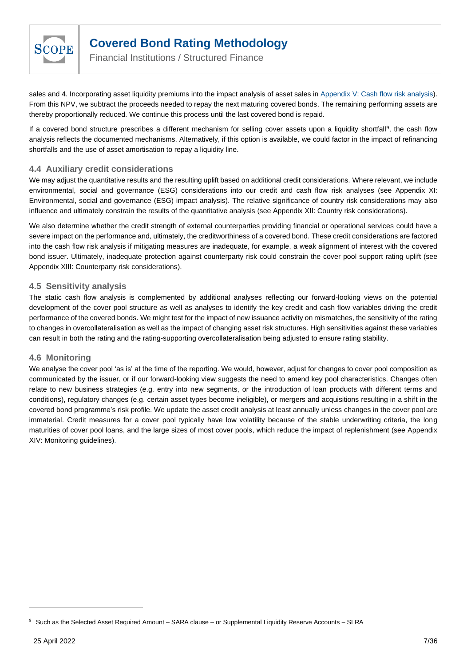

Financial Institutions / Structured Finance

sales and 4. Incorporating asset liquidity premiums into the impact analysis of asset sales in Appendix V: [Cash flow risk analysis\)](#page-16-0). From this NPV, we subtract the proceeds needed to repay the next maturing covered bonds. The remaining performing assets are thereby proportionally reduced. We continue this process until the last covered bond is repaid.

If a covered bond structure prescribes a different mechanism for selling cover assets upon a liquidity shortfall<sup>9</sup>, the cash flow analysis reflects the documented mechanisms. Alternatively, if this option is available, we could factor in the impact of refinancing shortfalls and the use of asset amortisation to repay a liquidity line.

### <span id="page-6-0"></span>**4.4 Auxiliary credit considerations**

We may adjust the quantitative results and the resulting uplift based on additional credit considerations. Where relevant, we include environmental, social and governance (ESG) considerations into our credit and cash flow risk analyses (see [Appendix XI:](#page-28-0) [Environmental, social and governance \(ESG\) impact analysis\)](#page-28-0). The relative significance of country risk considerations may also influence and ultimately constrain the results of the quantitative analysis (see [Appendix XII: Country risk considerations\)](#page-29-0).

We also determine whether the credit strength of external counterparties providing financial or operational services could have a severe impact on the performance and, ultimately, the creditworthiness of a covered bond. These credit considerations are factored into the cash flow risk analysis if mitigating measures are inadequate, for example, a weak alignment of interest with the covered bond issuer. Ultimately, inadequate protection against counterparty risk could constrain the cover pool support rating uplift (see [Appendix XIII: Counterparty risk considerations\)](#page-30-0).

### <span id="page-6-1"></span>**4.5 Sensitivity analysis**

The static cash flow analysis is complemented by additional analyses reflecting our forward-looking views on the potential development of the cover pool structure as well as analyses to identify the key credit and cash flow variables driving the credit performance of the covered bonds. We might test for the impact of new issuance activity on mismatches, the sensitivity of the rating to changes in overcollateralisation as well as the impact of changing asset risk structures. High sensitivities against these variables can result in both the rating and the rating-supporting overcollateralisation being adjusted to ensure rating stability.

### <span id="page-6-2"></span>**4.6 Monitoring**

We analyse the cover pool 'as is' at the time of the reporting. We would, however, adjust for changes to cover pool composition as communicated by the issuer, or if our forward-looking view suggests the need to amend key pool characteristics. Changes often relate to new business strategies (e.g. entry into new segments, or the introduction of loan products with different terms and conditions), regulatory changes (e.g. certain asset types become ineligible), or mergers and acquisitions resulting in a shift in the covered bond programme's risk profile. We update the asset credit analysis at least annually unless changes in the cover pool are immaterial. Credit measures for a cover pool typically have low volatility because of the stable underwriting criteria, the long maturities of cover pool loans, and the large sizes of most cover pools, which reduce the impact of replenishment (see [Appendix](#page-31-0)  [XIV: Monitoring guidelines\)](#page-31-0).

<sup>9</sup> Such as the Selected Asset Required Amount – SARA clause – or Supplemental Liquidity Reserve Accounts – SLRA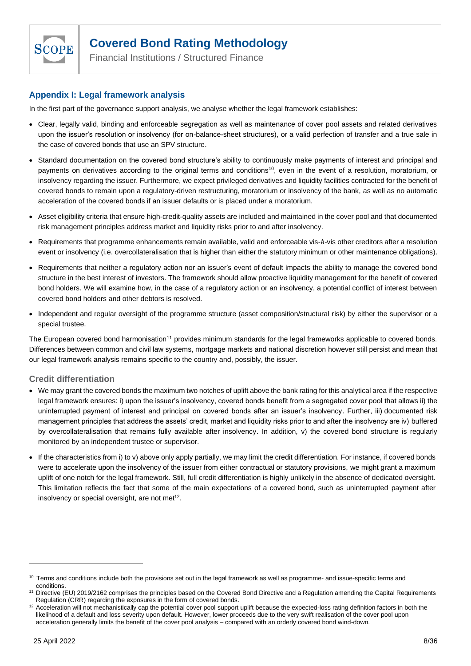

Financial Institutions / Structured Finance

### <span id="page-7-0"></span>**Appendix I: Legal framework analysis**

In the first part of the governance support analysis, we analyse whether the legal framework establishes:

- Clear, legally valid, binding and enforceable segregation as well as maintenance of cover pool assets and related derivatives upon the issuer's resolution or insolvency (for on-balance-sheet structures), or a valid perfection of transfer and a true sale in the case of covered bonds that use an SPV structure.
- Standard documentation on the covered bond structure's ability to continuously make payments of interest and principal and payments on derivatives according to the original terms and conditions<sup>10</sup>, even in the event of a resolution, moratorium, or insolvency regarding the issuer. Furthermore, we expect privileged derivatives and liquidity facilities contracted for the benefit of covered bonds to remain upon a regulatory-driven restructuring, moratorium or insolvency of the bank, as well as no automatic acceleration of the covered bonds if an issuer defaults or is placed under a moratorium.
- Asset eligibility criteria that ensure high-credit-quality assets are included and maintained in the cover pool and that documented risk management principles address market and liquidity risks prior to and after insolvency.
- Requirements that programme enhancements remain available, valid and enforceable vis-à-vis other creditors after a resolution event or insolvency (i.e. overcollateralisation that is higher than either the statutory minimum or other maintenance obligations).
- Requirements that neither a regulatory action nor an issuer's event of default impacts the ability to manage the covered bond structure in the best interest of investors. The framework should allow proactive liquidity management for the benefit of covered bond holders. We will examine how, in the case of a regulatory action or an insolvency, a potential conflict of interest between covered bond holders and other debtors is resolved.
- Independent and regular oversight of the programme structure (asset composition/structural risk) by either the supervisor or a special trustee.

The European covered bond harmonisation<sup>11</sup> provides minimum standards for the legal frameworks applicable to covered bonds. Differences between common and civil law systems, mortgage markets and national discretion however still persist and mean that our legal framework analysis remains specific to the country and, possibly, the issuer.

### **Credit differentiation**

- We may grant the covered bonds the maximum two notches of uplift above the bank rating for this analytical area if the respective legal framework ensures: i) upon the issuer's insolvency, covered bonds benefit from a segregated cover pool that allows ii) the uninterrupted payment of interest and principal on covered bonds after an issuer's insolvency. Further, iii) documented risk management principles that address the assets' credit, market and liquidity risks prior to and after the insolvency are iv) buffered by overcollateralisation that remains fully available after insolvency. In addition, v) the covered bond structure is regularly monitored by an independent trustee or supervisor.
- If the characteristics from i) to v) above only apply partially, we may limit the credit differentiation. For instance, if covered bonds were to accelerate upon the insolvency of the issuer from either contractual or statutory provisions, we might grant a maximum uplift of one notch for the legal framework. Still, full credit differentiation is highly unlikely in the absence of dedicated oversight. This limitation reflects the fact that some of the main expectations of a covered bond, such as uninterrupted payment after insolvency or special oversight, are not met $12$ .

<sup>&</sup>lt;sup>10</sup> Terms and conditions include both the provisions set out in the legal framework as well as programme- and issue-specific terms and conditions.

<sup>11</sup> Directive (EU) 2019/2162 comprises the principles based on the Covered Bond Directive and a Regulation amending the Capital Requirements Regulation (CRR) regarding the exposures in the form of covered bonds.

<sup>&</sup>lt;sup>12</sup> Acceleration will not mechanistically cap the potential cover pool support uplift because the expected-loss rating definition factors in both the likelihood of a default and loss severity upon default. However, lower proceeds due to the very swift realisation of the cover pool upon acceleration generally limits the benefit of the cover pool analysis – compared with an orderly covered bond wind-down.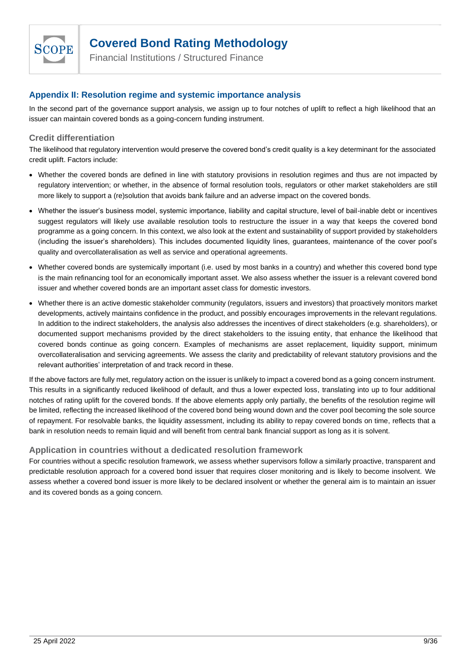

Financial Institutions / Structured Finance

### <span id="page-8-0"></span>**Appendix II: Resolution regime and systemic importance analysis**

In the second part of the governance support analysis, we assign up to four notches of uplift to reflect a high likelihood that an issuer can maintain covered bonds as a going-concern funding instrument.

### **Credit differentiation**

The likelihood that regulatory intervention would preserve the covered bond's credit quality is a key determinant for the associated credit uplift. Factors include:

- Whether the covered bonds are defined in line with statutory provisions in resolution regimes and thus are not impacted by regulatory intervention; or whether, in the absence of formal resolution tools, regulators or other market stakeholders are still more likely to support a (re)solution that avoids bank failure and an adverse impact on the covered bonds.
- Whether the issuer's business model, systemic importance, liability and capital structure, level of bail-inable debt or incentives suggest regulators will likely use available resolution tools to restructure the issuer in a way that keeps the covered bond programme as a going concern. In this context, we also look at the extent and sustainability of support provided by stakeholders (including the issuer's shareholders). This includes documented liquidity lines, guarantees, maintenance of the cover pool's quality and overcollateralisation as well as service and operational agreements.
- Whether covered bonds are systemically important (i.e. used by most banks in a country) and whether this covered bond type is the main refinancing tool for an economically important asset. We also assess whether the issuer is a relevant covered bond issuer and whether covered bonds are an important asset class for domestic investors.
- Whether there is an active domestic stakeholder community (regulators, issuers and investors) that proactively monitors market developments, actively maintains confidence in the product, and possibly encourages improvements in the relevant regulations. In addition to the indirect stakeholders, the analysis also addresses the incentives of direct stakeholders (e.g. shareholders), or documented support mechanisms provided by the direct stakeholders to the issuing entity, that enhance the likelihood that covered bonds continue as going concern. Examples of mechanisms are asset replacement, liquidity support, minimum overcollateralisation and servicing agreements. We assess the clarity and predictability of relevant statutory provisions and the relevant authorities' interpretation of and track record in these.

If the above factors are fully met, regulatory action on the issuer is unlikely to impact a covered bond as a going concern instrument. This results in a significantly reduced likelihood of default, and thus a lower expected loss, translating into up to four additional notches of rating uplift for the covered bonds. If the above elements apply only partially, the benefits of the resolution regime will be limited, reflecting the increased likelihood of the covered bond being wound down and the cover pool becoming the sole source of repayment. For resolvable banks, the liquidity assessment, including its ability to repay covered bonds on time, reflects that a bank in resolution needs to remain liquid and will benefit from central bank financial support as long as it is solvent.

### **Application in countries without a dedicated resolution framework**

For countries without a specific resolution framework, we assess whether supervisors follow a similarly proactive, transparent and predictable resolution approach for a covered bond issuer that requires closer monitoring and is likely to become insolvent. We assess whether a covered bond issuer is more likely to be declared insolvent or whether the general aim is to maintain an issuer and its covered bonds as a going concern.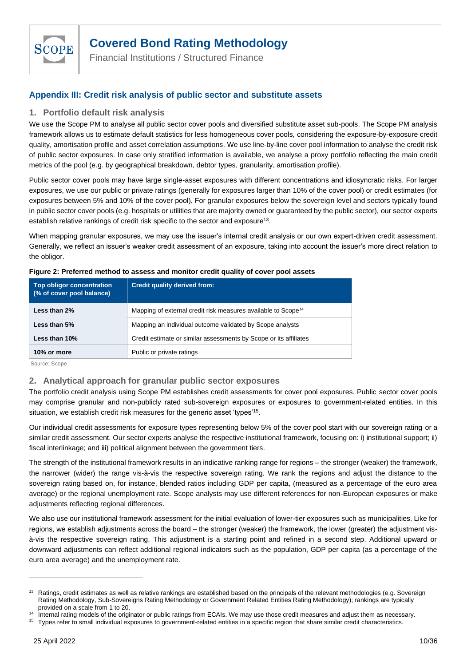

Financial Institutions / Structured Finance

### <span id="page-9-0"></span>**Appendix III: Credit risk analysis of public sector and substitute assets**

### **1. Portfolio default risk analysis**

We use the Scope PM to analyse all public sector cover pools and diversified substitute asset sub-pools. The Scope PM analysis framework allows us to estimate default statistics for less homogeneous cover pools, considering the exposure-by-exposure credit quality, amortisation profile and asset correlation assumptions. We use line-by-line cover pool information to analyse the credit risk of public sector exposures. In case only stratified information is available, we analyse a proxy portfolio reflecting the main credit metrics of the pool (e.g. by geographical breakdown, debtor types, granularity, amortisation profile).

Public sector cover pools may have large single-asset exposures with different concentrations and idiosyncratic risks. For larger exposures, we use our public or private ratings (generally for exposures larger than 10% of the cover pool) or credit estimates (for exposures between 5% and 10% of the cover pool). For granular exposures below the sovereign level and sectors typically found in public sector cover pools (e.g. hospitals or utilities that are majority owned or guaranteed by the public sector), our sector experts establish relative rankings of credit risk specific to the sector and exposure<sup>13</sup>.

When mapping granular exposures, we may use the issuer's internal credit analysis or our own expert-driven credit assessment. Generally, we reflect an issuer's weaker credit assessment of an exposure, taking into account the issuer's more direct relation to the obligor.

| <b>Top obligor concentration</b><br>(% of cover pool balance) | <b>Credit quality derived from:</b>                                       |
|---------------------------------------------------------------|---------------------------------------------------------------------------|
| Less than 2%                                                  | Mapping of external credit risk measures available to Scope <sup>14</sup> |
| Less than 5%                                                  | Mapping an individual outcome validated by Scope analysts                 |
| Less than 10%                                                 | Credit estimate or similar assessments by Scope or its affiliates         |
| 10% or more                                                   | Public or private ratings                                                 |

#### **Figure 2: Preferred method to assess and monitor credit quality of cover pool assets**

Source: Scope

### **2. Analytical approach for granular public sector exposures**

The portfolio credit analysis using Scope PM establishes credit assessments for cover pool exposures. Public sector cover pools may comprise granular and non-publicly rated sub-sovereign exposures or exposures to government-related entities. In this situation, we establish credit risk measures for the generic asset 'types'<sup>15</sup>.

Our individual credit assessments for exposure types representing below 5% of the cover pool start with our sovereign rating or a similar credit assessment. Our sector experts analyse the respective institutional framework, focusing on: i) institutional support; ii) fiscal interlinkage; and iii) political alignment between the government tiers.

The strength of the institutional framework results in an indicative ranking range for regions – the stronger (weaker) the framework, the narrower (wider) the range vis-à-vis the respective sovereign rating. We rank the regions and adjust the distance to the sovereign rating based on, for instance, blended ratios including GDP per capita, (measured as a percentage of the euro area average) or the regional unemployment rate. Scope analysts may use different references for non-European exposures or make adjustments reflecting regional differences.

We also use our institutional framework assessment for the initial evaluation of lower-tier exposures such as municipalities. Like for regions, we establish adjustments across the board – the stronger (weaker) the framework, the lower (greater) the adjustment visà-vis the respective sovereign rating. This adjustment is a starting point and refined in a second step. Additional upward or downward adjustments can reflect additional regional indicators such as the population, GDP per capita (as a percentage of the euro area average) and the unemployment rate.

<sup>&</sup>lt;sup>13</sup> Ratings, credit estimates as well as relative rankings are established based on the principals of the relevant methodologies (e.g. Sovereign Rating Methodology, Sub-Sovereigns Rating Methodology or Government Related Entities Rating Methodology); rankings are typically provided on a scale from 1 to 20.

<sup>&</sup>lt;sup>14</sup> Internal rating models of the originator or public ratings from ECAIs. We may use those credit measures and adjust them as necessary.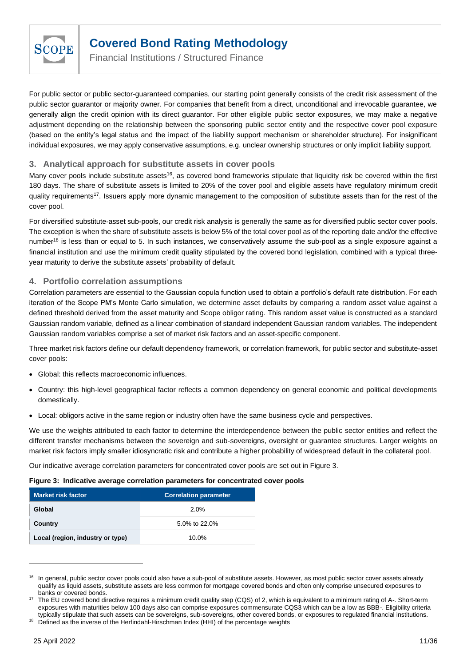

Financial Institutions / Structured Finance

For public sector or public sector-guaranteed companies, our starting point generally consists of the credit risk assessment of the public sector guarantor or majority owner. For companies that benefit from a direct, unconditional and irrevocable guarantee, we generally align the credit opinion with its direct guarantor. For other eligible public sector exposures, we may make a negative adjustment depending on the relationship between the sponsoring public sector entity and the respective cover pool exposure (based on the entity's legal status and the impact of the liability support mechanism or shareholder structure). For insignificant individual exposures, we may apply conservative assumptions, e.g. unclear ownership structures or only implicit liability support.

### **3. Analytical approach for substitute assets in cover pools**

Many cover pools include substitute assets<sup>16</sup>, as covered bond frameworks stipulate that liquidity risk be covered within the first 180 days. The share of substitute assets is limited to 20% of the cover pool and eligible assets have regulatory minimum credit quality requirements<sup>17</sup>. Issuers apply more dynamic management to the composition of substitute assets than for the rest of the cover pool.

For diversified substitute-asset sub-pools, our credit risk analysis is generally the same as for diversified public sector cover pools. The exception is when the share of substitute assets is below 5% of the total cover pool as of the reporting date and/or the effective number<sup>18</sup> is less than or equal to 5. In such instances, we conservatively assume the sub-pool as a single exposure against a financial institution and use the minimum credit quality stipulated by the covered bond legislation, combined with a typical threeyear maturity to derive the substitute assets' probability of default.

### **4. Portfolio correlation assumptions**

Correlation parameters are essential to the Gaussian copula function used to obtain a portfolio's default rate distribution. For each iteration of the Scope PM's Monte Carlo simulation, we determine asset defaults by comparing a random asset value against a defined threshold derived from the asset maturity and Scope obligor rating. This random asset value is constructed as a standard Gaussian random variable, defined as a linear combination of standard independent Gaussian random variables. The independent Gaussian random variables comprise a set of market risk factors and an asset-specific component.

Three market risk factors define our default dependency framework, or correlation framework, for public sector and substitute-asset cover pools:

- Global: this reflects macroeconomic influences.
- Country: this high-level geographical factor reflects a common dependency on general economic and political developments domestically.
- Local: obligors active in the same region or industry often have the same business cycle and perspectives.

We use the weights attributed to each factor to determine the interdependence between the public sector entities and reflect the different transfer mechanisms between the sovereign and sub-sovereigns, oversight or guarantee structures. Larger weights on market risk factors imply smaller idiosyncratic risk and contribute a higher probability of widespread default in the collateral pool.

Our indicative average correlation parameters for concentrated cover pools are set out in Figure 3.

#### **Figure 3: Indicative average correlation parameters for concentrated cover pools**

| <b>Market risk factor</b>        | <b>Correlation parameter</b> |
|----------------------------------|------------------------------|
| Global                           | 2.0%                         |
| Country                          | 5.0% to 22.0%                |
| Local (region, industry or type) | 10.0%                        |

<sup>&</sup>lt;sup>16</sup> In general, public sector cover pools could also have a sub-pool of substitute assets. However, as most public sector cover assets already qualify as liquid assets, substitute assets are less common for mortgage covered bonds and often only comprise unsecured exposures to banks or covered bonds.

<sup>17</sup> The EU covered bond directive requires a minimum credit quality step (CQS) of 2, which is equivalent to a minimum rating of A-. Short-term exposures with maturities below 100 days also can comprise exposures commensurate CQS3 which can be a low as BBB-. Eligibility criteria typically stipulate that such assets can be sovereigns, sub-sovereigns, other covered bonds, or exposures to regulated financial institutions.

Defined as the inverse of the Herfindahl-Hirschman Index (HHI) of the percentage weights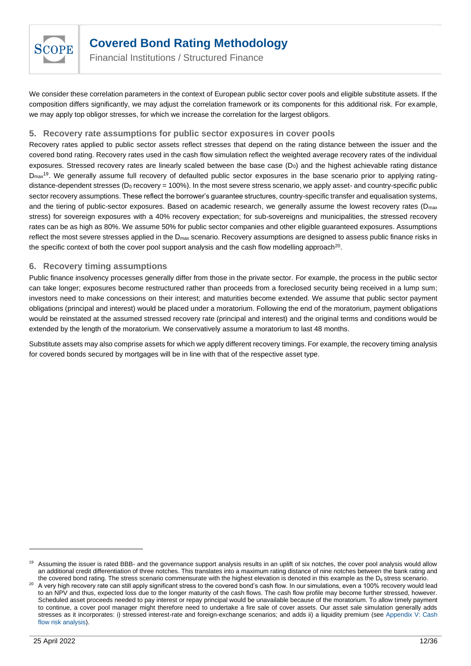

Financial Institutions / Structured Finance

We consider these correlation parameters in the context of European public sector cover pools and eligible substitute assets. If the composition differs significantly, we may adjust the correlation framework or its components for this additional risk. For example, we may apply top obligor stresses, for which we increase the correlation for the largest obligors.

### **5. Recovery rate assumptions for public sector exposures in cover pools**

Recovery rates applied to public sector assets reflect stresses that depend on the rating distance between the issuer and the covered bond rating. Recovery rates used in the cash flow simulation reflect the weighted average recovery rates of the individual exposures. Stressed recovery rates are linearly scaled between the base case  $(D<sub>0</sub>)$  and the highest achievable rating distance D<sub>max</sub><sup>19</sup>. We generally assume full recovery of defaulted public sector exposures in the base scenario prior to applying ratingdistance-dependent stresses ( $D_0$  recovery = 100%). In the most severe stress scenario, we apply asset- and country-specific public sector recovery assumptions. These reflect the borrower's guarantee structures, country-specific transfer and equalisation systems, and the tiering of public-sector exposures. Based on academic research, we generally assume the lowest recovery rates (D<sub>max</sub>) stress) for sovereign exposures with a 40% recovery expectation; for sub-sovereigns and municipalities, the stressed recovery rates can be as high as 80%. We assume 50% for public sector companies and other eligible guaranteed exposures. Assumptions reflect the most severe stresses applied in the  $D_{\text{max}}$  scenario. Recovery assumptions are designed to assess public finance risks in the specific context of both the cover pool support analysis and the cash flow modelling approach<sup>20</sup>.

### **6. Recovery timing assumptions**

Public finance insolvency processes generally differ from those in the private sector. For example, the process in the public sector can take longer; exposures become restructured rather than proceeds from a foreclosed security being received in a lump sum; investors need to make concessions on their interest; and maturities become extended. We assume that public sector payment obligations (principal and interest) would be placed under a moratorium. Following the end of the moratorium, payment obligations would be reinstated at the assumed stressed recovery rate (principal and interest) and the original terms and conditions would be extended by the length of the moratorium. We conservatively assume a moratorium to last 48 months.

Substitute assets may also comprise assets for which we apply different recovery timings. For example, the recovery timing analysis for covered bonds secured by mortgages will be in line with that of the respective asset type.

<sup>&</sup>lt;sup>19</sup> Assuming the issuer is rated BBB- and the governance support analysis results in an uplift of six notches, the cover pool analysis would allow an additional credit differentiation of three notches. This translates into a maximum rating distance of nine notches between the bank rating and the covered bond rating. The stress scenario commensurate with the highest elevation is denoted in this example as the  $D<sub>9</sub>$  stress scenario.

<sup>20</sup> A very high recovery rate can still apply significant stress to the covered bond's cash flow. In our simulations, even a 100% recovery would lead to an NPV and thus, expected loss due to the longer maturity of the cash flows. The cash flow profile may become further stressed, however. Scheduled asset proceeds needed to pay interest or repay principal would be unavailable because of the moratorium. To allow timely payment to continue, a cover pool manager might therefore need to undertake a fire sale of cover assets. Our asset sale simulation generally adds stresses as it incorporates: i) stressed interest-rate and foreign-exchange scenarios; and adds ii) a liquidity premium (se[e Appendix V:](#page-16-0) Cash [flow risk analysis\)](#page-16-0).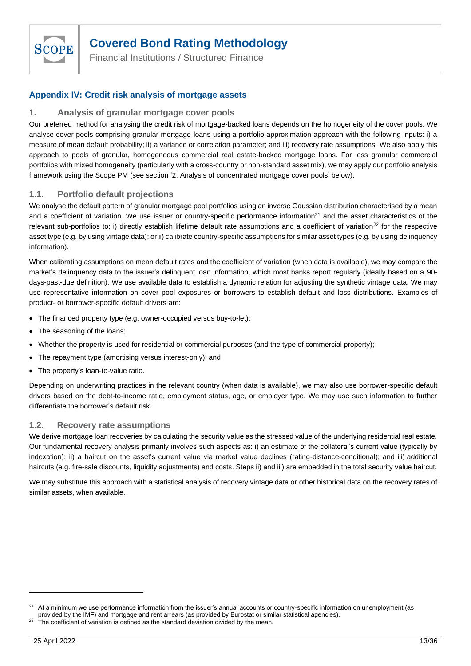

Financial Institutions / Structured Finance

### <span id="page-12-0"></span>**Appendix IV: Credit risk analysis of mortgage assets**

### **1. Analysis of granular mortgage cover pools**

Our preferred method for analysing the credit risk of mortgage-backed loans depends on the homogeneity of the cover pools. We analyse cover pools comprising granular mortgage loans using a portfolio approximation approach with the following inputs: i) a measure of mean default probability; ii) a variance or correlation parameter; and iii) recovery rate assumptions. We also apply this approach to pools of granular, homogeneous commercial real estate-backed mortgage loans. For less granular commercial portfolios with mixed homogeneity (particularly with a cross-country or non-standard asset mix), we may apply our portfolio analysis framework using the Scope PM (see section '2. Analysis of concentrated mortgage cover pools' below).

### **1.1. Portfolio default projections**

We analyse the default pattern of granular mortgage pool portfolios using an inverse Gaussian distribution characterised by a mean and a coefficient of variation. We use issuer or country-specific performance information<sup>21</sup> and the asset characteristics of the relevant sub-portfolios to: i) directly establish lifetime default rate assumptions and a coefficient of variation $22$  for the respective asset type (e.g. by using vintage data); or ii) calibrate country-specific assumptions for similar asset types (e.g. by using delinquency information).

When calibrating assumptions on mean default rates and the coefficient of variation (when data is available), we may compare the market's delinquency data to the issuer's delinquent loan information, which most banks report regularly (ideally based on a 90 days-past-due definition). We use available data to establish a dynamic relation for adjusting the synthetic vintage data. We may use representative information on cover pool exposures or borrowers to establish default and loss distributions. Examples of product- or borrower-specific default drivers are:

- The financed property type (e.g. owner-occupied versus buy-to-let);
- The seasoning of the loans;
- Whether the property is used for residential or commercial purposes (and the type of commercial property);
- The repayment type (amortising versus interest-only); and
- The property's loan-to-value ratio.

Depending on underwriting practices in the relevant country (when data is available), we may also use borrower-specific default drivers based on the debt-to-income ratio, employment status, age, or employer type. We may use such information to further differentiate the borrower's default risk.

### **1.2. Recovery rate assumptions**

We derive mortgage loan recoveries by calculating the security value as the stressed value of the underlying residential real estate. Our fundamental recovery analysis primarily involves such aspects as: i) an estimate of the collateral's current value (typically by indexation); ii) a haircut on the asset's current value via market value declines (rating-distance-conditional); and iii) additional haircuts (e.g. fire-sale discounts, liquidity adjustments) and costs. Steps ii) and iii) are embedded in the total security value haircut.

We may substitute this approach with a statistical analysis of recovery vintage data or other historical data on the recovery rates of similar assets, when available.

At a minimum we use performance information from the issuer's annual accounts or country-specific information on unemployment (as provided by the IMF) and mortgage and rent arrears (as provided by Eurostat or similar statistical agencies).

 $22$  The coefficient of variation is defined as the standard deviation divided by the mean.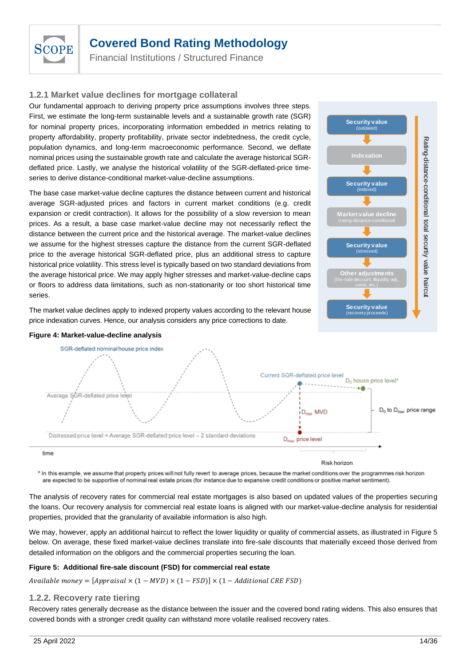

Financial Institutions / Structured Finance

### **1.2.1 Market value declines for mortgage collateral**

Our fundamental approach to deriving property price assumptions involves three steps. First, we estimate the long-term sustainable levels and a sustainable growth rate (SGR) for nominal property prices, incorporating information embedded in metrics relating to property affordability, property profitability, private sector indebtedness, the credit cycle, population dynamics, and long-term macroeconomic performance. Second, we deflate nominal prices using the sustainable growth rate and calculate the average historical SGRdeflated price. Lastly, we analyse the historical volatility of the SGR-deflated-price timeseries to derive distance-conditional market-value-decline assumptions.

The base case market-value decline captures the distance between current and historical average SGR-adjusted prices and factors in current market conditions (e.g. credit expansion or credit contraction). It allows for the possibility of a slow reversion to mean prices. As a result, a base case market-value decline may not necessarily reflect the distance between the current price and the historical average. The market-value declines we assume for the highest stresses capture the distance from the current SGR-deflated price to the average historical SGR-deflated price, plus an additional stress to capture historical price volatility. This stress level is typically based on two standard deviations from the average historical price. We may apply higher stresses and market-value-decline caps or floors to address data limitations, such as non-stationarity or too short historical time series.



The market value declines apply to indexed property values according to the relevant house price indexation curves. Hence, our analysis considers any price corrections to date.



#### **Figure 4: Market-value-decline analysis**

\* In this example, we assume that property prices will not fully revert to average prices, because the market conditions over the programmes risk horizon are expected to be supportive of nominal real estate prices (for instance due to expansive credit conditions or positive market sentiment).

The analysis of recovery rates for commercial real estate mortgages is also based on updated values of the properties securing the loans. Our recovery analysis for commercial real estate loans is aligned with our market-value-decline analysis for residential properties, provided that the granularity of available information is also high.

We may, however, apply an additional haircut to reflect the lower liquidity or quality of commercial assets, as illustrated in [Figure 5](#page-13-0) below. On average, these fixed market-value declines translate into fire-sale discounts that materially exceed those derived from detailed information on the obligors and the commercial properties securing the loan.

#### <span id="page-13-0"></span>**Figure 5: Additional fire-sale discount (FSD) for commercial real estate**

Available money =  $[Approxial \times (1 - MVD) \times (1 - FSD)] \times (1 - Additional CRE FSD)$ 

#### **1.2.2. Recovery rate tiering**

Recovery rates generally decrease as the distance between the issuer and the covered bond rating widens. This also ensures that covered bonds with a stronger credit quality can withstand more volatile realised recovery rates.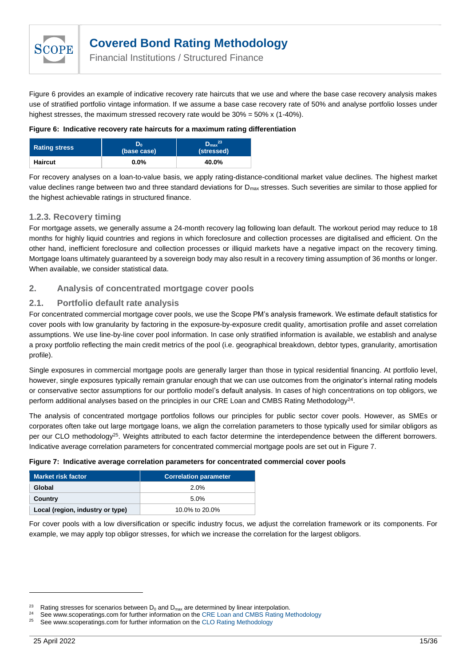

Financial Institutions / Structured Finance

Figure 6 provides an example of indicative recovery rate haircuts that we use and where the base case recovery analysis makes use of stratified portfolio vintage information. If we assume a base case recovery rate of 50% and analyse portfolio losses under highest stresses, the maximum stressed recovery rate would be 30% = 50% x (1-40%).

#### **Figure 6: Indicative recovery rate haircuts for a maximum rating differentiation**

| <b>Rating stress</b> | ים<br>(base case) | $D_{\text{max}}^{23}$<br>(stressed) |
|----------------------|-------------------|-------------------------------------|
| <b>Haircut</b>       | $0.0\%$           | 40.0%                               |

For recovery analyses on a loan-to-value basis, we apply rating-distance-conditional market value declines. The highest market value declines range between two and three standard deviations for D<sub>max</sub> stresses. Such severities are similar to those applied for the highest achievable ratings in structured finance.

### **1.2.3. Recovery timing**

For mortgage assets, we generally assume a 24-month recovery lag following loan default. The workout period may reduce to 18 months for highly liquid countries and regions in which foreclosure and collection processes are digitalised and efficient. On the other hand, inefficient foreclosure and collection processes or illiquid markets have a negative impact on the recovery timing. Mortgage loans ultimately guaranteed by a sovereign body may also result in a recovery timing assumption of 36 months or longer. When available, we consider statistical data.

### **2. Analysis of concentrated mortgage cover pools**

### **2.1. Portfolio default rate analysis**

For concentrated commercial mortgage cover pools, we use the Scope PM's analysis framework. We estimate default statistics for cover pools with low granularity by factoring in the exposure-by-exposure credit quality, amortisation profile and asset correlation assumptions. We use line-by-line cover pool information. In case only stratified information is available, we establish and analyse a proxy portfolio reflecting the main credit metrics of the pool (i.e. geographical breakdown, debtor types, granularity, amortisation profile).

Single exposures in commercial mortgage pools are generally larger than those in typical residential financing. At portfolio level, however, single exposures typically remain granular enough that we can use outcomes from the originator's internal rating models or conservative sector assumptions for our portfolio model's default analysis. In cases of high concentrations on top obligors, we perform additional analyses based on the principles in our CRE Loan and CMBS Rating Methodology<sup>24</sup>.

The analysis of concentrated mortgage portfolios follows our principles for public sector cover pools. However, as SMEs or corporates often take out large mortgage loans, we align the correlation parameters to those typically used for similar obligors as per our CLO methodology<sup>25</sup>. Weights attributed to each factor determine the interdependence between the different borrowers. Indicative average correlation parameters for concentrated commercial mortgage pools are set out in [Figure 7.](#page-14-0)

#### <span id="page-14-0"></span>**Figure 7: Indicative average correlation parameters for concentrated commercial cover pools**

| Market risk factor               | <b>Correlation parameter</b> |
|----------------------------------|------------------------------|
| Global                           | 2.0%                         |
| Country                          | 5.0%                         |
| Local (region, industry or type) | 10.0% to 20.0%               |

For cover pools with a low diversification or specific industry focus, we adjust the correlation framework or its components. For example, we may apply top obligor stresses, for which we increase the correlation for the largest obligors.

<sup>&</sup>lt;sup>23</sup> Rating stresses for scenarios between  $D_0$  and  $D_{max}$  are determined by linear interpolation.

<sup>&</sup>lt;sup>24</sup> See www.scoperatings.com for further information on the CRE Loan [and CMBS Rating Methodology](https://www.scoperatings.com/ScopeRatingsApi/api/downloadmethodology?id=291babb4-afe4-40ab-a7dd-a5d0d3d017fd)<br><sup>25</sup> See www.scoperatings.com for further information on the CLO Beting Methodology

See www.scoperatings.com for further information on th[e CLO Rating Methodology](https://www.scoperatings.com/ScopeRatingsApi/api/downloadmethodology?id=3d7917e9-f758-4e9b-9596-7fe8df004b12)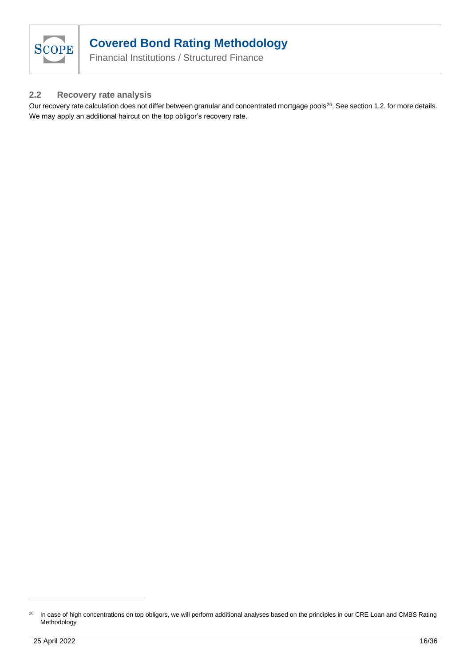

Financial Institutions / Structured Finance

### **2.2 Recovery rate analysis**

Our recovery rate calculation does not differ between granular and concentrated mortgage pools<sup>26</sup>. See section 1.2. for more details. We may apply an additional haircut on the top obligor's recovery rate.

<sup>&</sup>lt;sup>26</sup> In case of high concentrations on top obligors, we will perform additional analyses based on the principles in our CRE Loan and CMBS Rating **Methodology**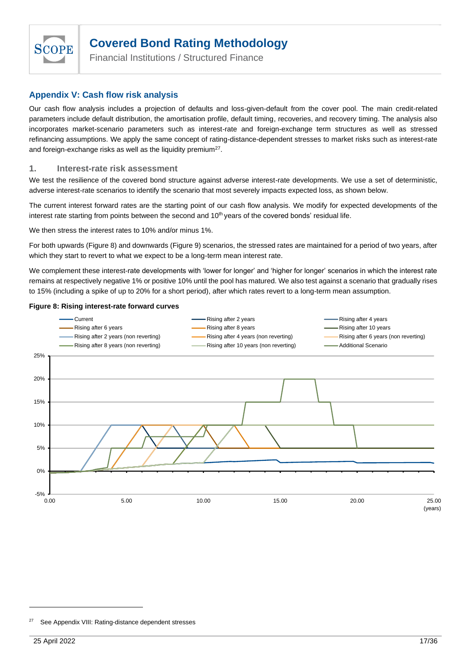

Financial Institutions / Structured Finance

### <span id="page-16-0"></span>**Appendix V: Cash flow risk analysis**

Our cash flow analysis includes a projection of defaults and loss-given-default from the cover pool. The main credit-related parameters include default distribution, the amortisation profile, default timing, recoveries, and recovery timing. The analysis also incorporates market-scenario parameters such as interest-rate and foreign-exchange term structures as well as stressed refinancing assumptions. We apply the same concept of rating-distance-dependent stresses to market risks such as interest-rate and foreign-exchange risks as well as the liquidity premium<sup>27</sup>.

#### **1. Interest-rate risk assessment**

We test the resilience of the covered bond structure against adverse interest-rate developments. We use a set of deterministic, adverse interest-rate scenarios to identify the scenario that most severely impacts expected loss, as shown below.

The current interest forward rates are the starting point of our cash flow analysis. We modify for expected developments of the interest rate starting from points between the second and 10<sup>th</sup> years of the covered bonds' residual life.

We then stress the interest rates to 10% and/or minus 1%.

For both upwards [\(Figure 8\)](#page-16-1) and downwards [\(Figure 9\)](#page-17-0) scenarios, the stressed rates are maintained for a period of two years, after which they start to revert to what we expect to be a long-term mean interest rate.

We complement these interest-rate developments with 'lower for longer' and 'higher for longer' scenarios in which the interest rate remains at respectively negative 1% or positive 10% until the pool has matured. We also test against a scenario that gradually rises to 15% (including a spike of up to 20% for a short period), after which rates revert to a long-term mean assumption.

#### <span id="page-16-1"></span>**Figure 8: Rising interest-rate forward curves**



Se[e Appendix VIII: Rating-distance dependent stresses](#page-24-0)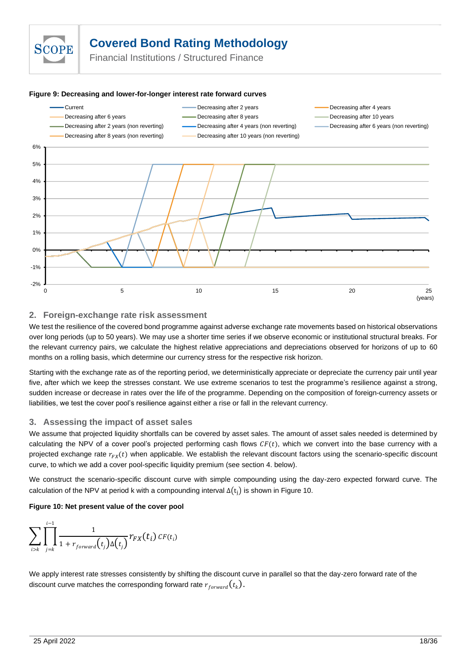

Financial Institutions / Structured Finance

#### <span id="page-17-0"></span>**Figure 9: Decreasing and lower-for-longer interest rate forward curves**



### **2. Foreign-exchange rate risk assessment**

We test the resilience of the covered bond programme against adverse exchange rate movements based on historical observations over long periods (up to 50 years). We may use a shorter time series if we observe economic or institutional structural breaks. For the relevant currency pairs, we calculate the highest relative appreciations and depreciations observed for horizons of up to 60 months on a rolling basis, which determine our currency stress for the respective risk horizon.

Starting with the exchange rate as of the reporting period, we deterministically appreciate or depreciate the currency pair until year five, after which we keep the stresses constant. We use extreme scenarios to test the programme's resilience against a strong, sudden increase or decrease in rates over the life of the programme. Depending on the composition of foreign-currency assets or liabilities, we test the cover pool's resilience against either a rise or fall in the relevant currency.

### **3. Assessing the impact of asset sales**

We assume that projected liquidity shortfalls can be covered by asset sales. The amount of asset sales needed is determined by calculating the NPV of a cover pool's projected performing cash flows  $CF(t)$ , which we convert into the base currency with a projected exchange rate  $r_{FX}(t)$  when applicable. We establish the relevant discount factors using the scenario-specific discount curve, to which we add a cover pool-specific liquidity premium (see section 4. below).

We construct the scenario-specific discount curve with simple compounding using the day-zero expected forward curve. The calculation of the NPV at period k with a compounding interval  $\Delta(t_i)$  is shown in Figure 10.

#### **Figure 10: Net present value of the cover pool**

$$
\sum_{i>k} \prod_{j=k}^{i-1} \frac{1}{1+r_{forward}(t_j)\Delta(t_j)} r_{FX}(t_i) \, CF(t_i)
$$

We apply interest rate stresses consistently by shifting the discount curve in parallel so that the day-zero forward rate of the discount curve matches the corresponding forward rate  $r_{forward}(t_{k}).$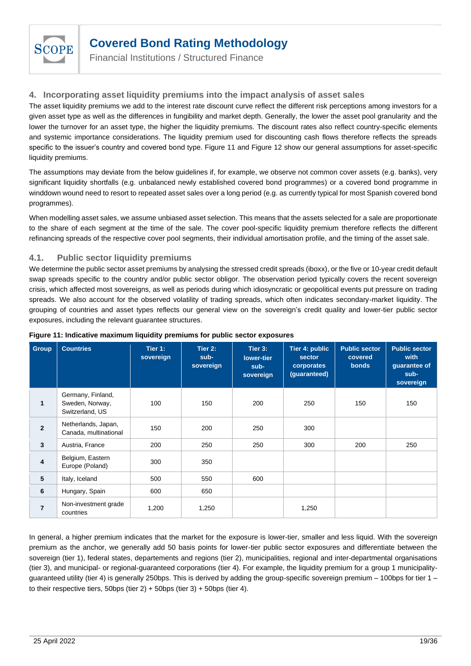

Financial Institutions / Structured Finance

### **4. Incorporating asset liquidity premiums into the impact analysis of asset sales**

The asset liquidity premiums we add to the interest rate discount curve reflect the different risk perceptions among investors for a given asset type as well as the differences in fungibility and market depth. Generally, the lower the asset pool granularity and the lower the turnover for an asset type, the higher the liquidity premiums. The discount rates also reflect country-specific elements and systemic importance considerations. The liquidity premium used for discounting cash flows therefore reflects the spreads specific to the issuer's country and covered bond type. [Figure 11](#page-18-0) and [Figure 12](#page-19-0) show our general assumptions for asset-specific liquidity premiums.

The assumptions may deviate from the below guidelines if, for example, we observe not common cover assets (e.g. banks), very significant liquidity shortfalls (e.g. unbalanced newly established covered bond programmes) or a covered bond programme in winddown wound need to resort to repeated asset sales over a long period (e.g. as currently typical for most Spanish covered bond programmes).

When modelling asset sales, we assume unbiased asset selection. This means that the assets selected for a sale are proportionate to the share of each segment at the time of the sale. The cover pool-specific liquidity premium therefore reflects the different refinancing spreads of the respective cover pool segments, their individual amortisation profile, and the timing of the asset sale.

### **4.1. Public sector liquidity premiums**

We determine the public sector asset premiums by analysing the stressed credit spreads (iboxx), or the five or 10-year credit default swap spreads specific to the country and/or public sector obligor. The observation period typically covers the recent sovereign crisis, which affected most sovereigns, as well as periods during which idiosyncratic or geopolitical events put pressure on trading spreads. We also account for the observed volatility of trading spreads, which often indicates secondary-market liquidity. The grouping of countries and asset types reflects our general view on the sovereign's credit quality and lower-tier public sector exposures, including the relevant guarantee structures.

| <b>Group</b>   | <b>Countries</b>                                        | Tier 1:<br>sovereign | Tier 2:<br>sub-<br>sovereign | Tier 3:<br>lower-tier<br>sub-<br>sovereign | Tier 4: public<br>sector<br>corporates<br>(guaranteed) | <b>Public sector</b><br>covered<br><b>bonds</b> | <b>Public sector</b><br>with<br>guarantee of<br>sub-<br>sovereign |
|----------------|---------------------------------------------------------|----------------------|------------------------------|--------------------------------------------|--------------------------------------------------------|-------------------------------------------------|-------------------------------------------------------------------|
| $\mathbf{1}$   | Germany, Finland,<br>Sweden, Norway,<br>Switzerland, US | 100                  | 150                          | 200                                        | 250                                                    | 150                                             | 150                                                               |
| $\overline{2}$ | Netherlands, Japan,<br>Canada, multinational            | 150                  | 200                          | 250                                        | 300                                                    |                                                 |                                                                   |
| $\mathbf{3}$   | Austria, France                                         | 200                  | 250                          | 250                                        | 300                                                    | 200                                             | 250                                                               |
| 4              | Belgium, Eastern<br>Europe (Poland)                     | 300                  | 350                          |                                            |                                                        |                                                 |                                                                   |
| 5              | Italy, Iceland                                          | 500                  | 550                          | 600                                        |                                                        |                                                 |                                                                   |
| $6\phantom{1}$ | Hungary, Spain                                          | 600                  | 650                          |                                            |                                                        |                                                 |                                                                   |
| $\overline{7}$ | Non-investment grade<br>countries                       | 1,200                | 1,250                        |                                            | 1,250                                                  |                                                 |                                                                   |

#### <span id="page-18-0"></span>**Figure 11: Indicative maximum liquidity premiums for public sector exposures**

In general, a higher premium indicates that the market for the exposure is lower-tier, smaller and less liquid. With the sovereign premium as the anchor, we generally add 50 basis points for lower-tier public sector exposures and differentiate between the sovereign (tier 1), federal states, departements and regions (tier 2), municipalities, regional and inter-departmental organisations (tier 3), and municipal- or regional-guaranteed corporations (tier 4). For example, the liquidity premium for a group 1 municipalityguaranteed utility (tier 4) is generally 250bps. This is derived by adding the group-specific sovereign premium – 100bps for tier 1 – to their respective tiers, 50bps (tier  $2$ ) + 50bps (tier  $3$ ) + 50bps (tier 4).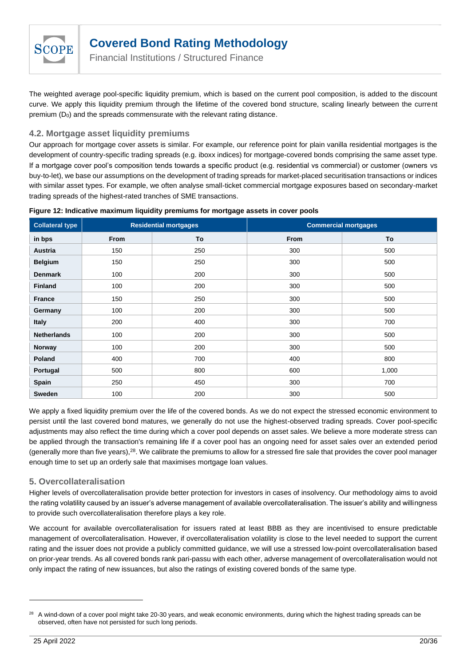

Financial Institutions / Structured Finance

The weighted average pool-specific liquidity premium, which is based on the current pool composition, is added to the discount curve. We apply this liquidity premium through the lifetime of the covered bond structure, scaling linearly between the current premium  $(D_0)$  and the spreads commensurate with the relevant rating distance.

### **4.2. Mortgage asset liquidity premiums**

Our approach for mortgage cover assets is similar. For example, our reference point for plain vanilla residential mortgages is the development of country-specific trading spreads (e.g. iboxx indices) for mortgage-covered bonds comprising the same asset type. If a mortgage cover pool's composition tends towards a specific product (e.g. residential vs commercial) or customer (owners vs buy-to-let), we base our assumptions on the development of trading spreads for market-placed securitisation transactions or indices with similar asset types. For example, we often analyse small-ticket commercial mortgage exposures based on secondary-market trading spreads of the highest-rated tranches of SME transactions.

<span id="page-19-0"></span>

| Figure 12: Indicative maximum liquidity premiums for mortgage assets in cover pools |  |  |  |
|-------------------------------------------------------------------------------------|--|--|--|
|                                                                                     |  |  |  |

| <b>Collateral type</b> |      | <b>Residential mortgages</b> | <b>Commercial mortgages</b> |       |
|------------------------|------|------------------------------|-----------------------------|-------|
| in bps                 | From | To                           | From                        | To    |
| <b>Austria</b>         | 150  | 250                          | 300                         | 500   |
| <b>Belgium</b>         | 150  | 250                          | 300                         | 500   |
| <b>Denmark</b>         | 100  | 200                          | 300                         | 500   |
| <b>Finland</b>         | 100  | 200                          | 300                         | 500   |
| <b>France</b>          | 150  | 250                          | 300                         | 500   |
| Germany                | 100  | 200                          | 300                         | 500   |
| <b>Italy</b>           | 200  | 400                          | 300                         | 700   |
| <b>Netherlands</b>     | 100  | 200                          | 300                         | 500   |
| Norway                 | 100  | 200                          | 300                         | 500   |
| Poland                 | 400  | 700                          | 400                         | 800   |
| Portugal               | 500  | 800                          | 600                         | 1,000 |
| Spain                  | 250  | 450                          | 300                         | 700   |
| Sweden                 | 100  | 200                          | 300                         | 500   |

We apply a fixed liquidity premium over the life of the covered bonds. As we do not expect the stressed economic environment to persist until the last covered bond matures, we generally do not use the highest-observed trading spreads. Cover pool-specific adjustments may also reflect the time during which a cover pool depends on asset sales. We believe a more moderate stress can be applied through the transaction's remaining life if a cover pool has an ongoing need for asset sales over an extended period (generally more than five years),<sup>28</sup>. We calibrate the premiums to allow for a stressed fire sale that provides the cover pool manager enough time to set up an orderly sale that maximises mortgage loan values.

### **5. Overcollateralisation**

Higher levels of overcollateralisation provide better protection for investors in cases of insolvency. Our methodology aims to avoid the rating volatility caused by an issuer's adverse management of available overcollateralisation. The issuer's ability and willingness to provide such overcollateralisation therefore plays a key role.

We account for available overcollateralisation for issuers rated at least BBB as they are incentivised to ensure predictable management of overcollateralisation. However, if overcollateralisation volatility is close to the level needed to support the current rating and the issuer does not provide a publicly committed guidance, we will use a stressed low-point overcollateralisation based on prior-year trends. As all covered bonds rank pari-passu with each other, adverse management of overcollateralisation would not only impact the rating of new issuances, but also the ratings of existing covered bonds of the same type.

<sup>&</sup>lt;sup>28</sup> A wind-down of a cover pool might take 20-30 years, and weak economic environments, during which the highest trading spreads can be observed, often have not persisted for such long periods.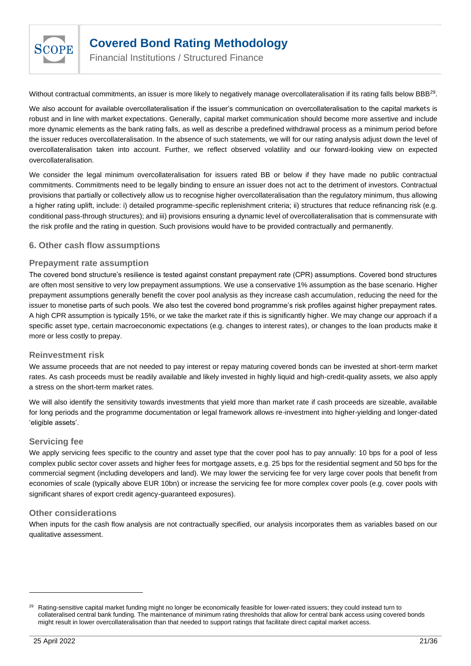

Financial Institutions / Structured Finance

Without contractual commitments, an issuer is more likely to negatively manage overcollateralisation if its rating falls below BBB<sup>29</sup>.

We also account for available overcollateralisation if the issuer's communication on overcollateralisation to the capital markets is robust and in line with market expectations. Generally, capital market communication should become more assertive and include more dynamic elements as the bank rating falls, as well as describe a predefined withdrawal process as a minimum period before the issuer reduces overcollateralisation. In the absence of such statements, we will for our rating analysis adjust down the level of overcollateralisation taken into account. Further, we reflect observed volatility and our forward-looking view on expected overcollateralisation.

We consider the legal minimum overcollateralisation for issuers rated BB or below if they have made no public contractual commitments. Commitments need to be legally binding to ensure an issuer does not act to the detriment of investors. Contractual provisions that partially or collectively allow us to recognise higher overcollateralisation than the regulatory minimum, thus allowing a higher rating uplift, include: i) detailed programme-specific replenishment criteria; ii) structures that reduce refinancing risk (e.g. conditional pass-through structures); and iii) provisions ensuring a dynamic level of overcollateralisation that is commensurate with the risk profile and the rating in question. Such provisions would have to be provided contractually and permanently.

### **6. Other cash flow assumptions**

### **Prepayment rate assumption**

The covered bond structure's resilience is tested against constant prepayment rate (CPR) assumptions. Covered bond structures are often most sensitive to very low prepayment assumptions. We use a conservative 1% assumption as the base scenario. Higher prepayment assumptions generally benefit the cover pool analysis as they increase cash accumulation, reducing the need for the issuer to monetise parts of such pools. We also test the covered bond programme's risk profiles against higher prepayment rates. A high CPR assumption is typically 15%, or we take the market rate if this is significantly higher. We may change our approach if a specific asset type, certain macroeconomic expectations (e.g. changes to interest rates), or changes to the loan products make it more or less costly to prepay.

### **Reinvestment risk**

We assume proceeds that are not needed to pay interest or repay maturing covered bonds can be invested at short-term market rates. As cash proceeds must be readily available and likely invested in highly liquid and high-credit-quality assets, we also apply a stress on the short-term market rates.

We will also identify the sensitivity towards investments that yield more than market rate if cash proceeds are sizeable, available for long periods and the programme documentation or legal framework allows re-investment into higher-yielding and longer-dated 'eligible assets'.

### **Servicing fee**

We apply servicing fees specific to the country and asset type that the cover pool has to pay annually: 10 bps for a pool of less complex public sector cover assets and higher fees for mortgage assets, e.g. 25 bps for the residential segment and 50 bps for the commercial segment (including developers and land). We may lower the servicing fee for very large cover pools that benefit from economies of scale (typically above EUR 10bn) or increase the servicing fee for more complex cover pools (e.g. cover pools with significant shares of export credit agency-guaranteed exposures).

### **Other considerations**

When inputs for the cash flow analysis are not contractually specified, our analysis incorporates them as variables based on our qualitative assessment.

<sup>29</sup> Rating-sensitive capital market funding might no longer be economically feasible for lower-rated issuers; they could instead turn to collateralised central bank funding. The maintenance of minimum rating thresholds that allow for central bank access using covered bonds might result in lower overcollateralisation than that needed to support ratings that facilitate direct capital market access.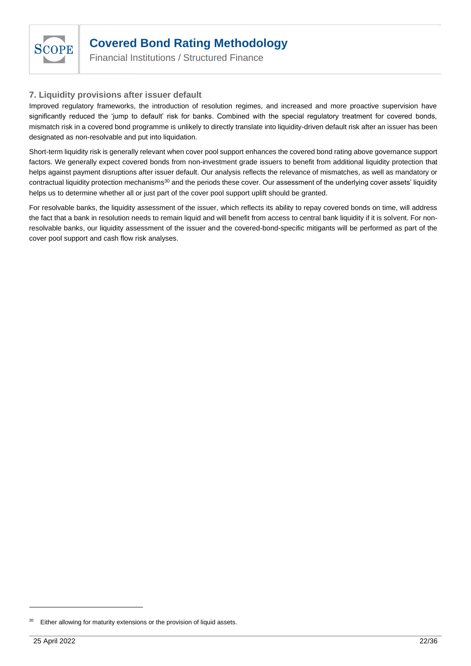

Financial Institutions / Structured Finance

### **7. Liquidity provisions after issuer default**

Improved regulatory frameworks, the introduction of resolution regimes, and increased and more proactive supervision have significantly reduced the 'jump to default' risk for banks. Combined with the special regulatory treatment for covered bonds, mismatch risk in a covered bond programme is unlikely to directly translate into liquidity-driven default risk after an issuer has been designated as non-resolvable and put into liquidation.

Short-term liquidity risk is generally relevant when cover pool support enhances the covered bond rating above governance support factors. We generally expect covered bonds from non-investment grade issuers to benefit from additional liquidity protection that helps against payment disruptions after issuer default. Our analysis reflects the relevance of mismatches, as well as mandatory or contractual liquidity protection mechanisms<sup>30</sup> and the periods these cover. Our assessment of the underlying cover assets' liquidity helps us to determine whether all or just part of the cover pool support uplift should be granted.

For resolvable banks, the liquidity assessment of the issuer, which reflects its ability to repay covered bonds on time, will address the fact that a bank in resolution needs to remain liquid and will benefit from access to central bank liquidity if it is solvent. For nonresolvable banks, our liquidity assessment of the issuer and the covered-bond-specific mitigants will be performed as part of the cover pool support and cash flow risk analyses.

Either allowing for maturity extensions or the provision of liquid assets.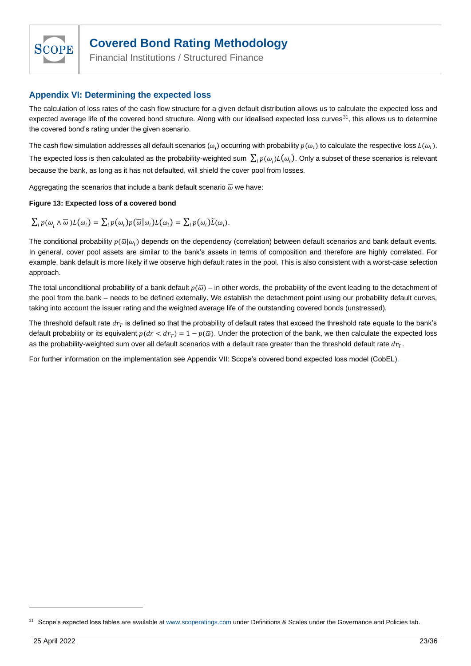

Financial Institutions / Structured Finance

### <span id="page-22-0"></span>**Appendix VI: Determining the expected loss**

The calculation of loss rates of the cash flow structure for a given default distribution allows us to calculate the expected loss and expected average life of the covered bond structure. Along with our idealised expected loss curves<sup>31</sup>, this allows us to determine the covered bond's rating under the given scenario.

The cash flow simulation addresses all default scenarios  $(\omega_i)$  occurring with probability  $p(\omega_i)$  to calculate the respective loss  $L(\omega_i)$ . The expected loss is then calculated as the probability-weighted sum  $\sum_i p(\omega_i)L(\omega_i)$ . Only a subset of these scenarios is relevant because the bank, as long as it has not defaulted, will shield the cover pool from losses.

Aggregating the scenarios that include a bank default scenario  $\bar{\omega}$  we have:

### **Figure 13: Expected loss of a covered bond**

$$
\textstyle \sum_i p(\omega_i \wedge \overline{\omega}) L(\omega_i) = \sum_i p(\omega_i) p(\overline{\omega}|\omega_i) L(\omega_i) = \sum_i p(\omega_i) \widetilde{L}(\omega_i).
$$

The conditional probability  $p(\overline{\omega}|\omega_i)$  depends on the dependency (correlation) between default scenarios and bank default events. In general, cover pool assets are similar to the bank's assets in terms of composition and therefore are highly correlated. For example, bank default is more likely if we observe high default rates in the pool. This is also consistent with a worst-case selection approach.

The total unconditional probability of a bank default  $p(\overline{\omega})$  – in other words, the probability of the event leading to the detachment of the pool from the bank – needs to be defined externally. We establish the detachment point using our probability default curves, taking into account the issuer rating and the weighted average life of the outstanding covered bonds (unstressed).

The threshold default rate  $dr_T$  is defined so that the probability of default rates that exceed the threshold rate equate to the bank's default probability or its equivalent  $p(dr < dr_p) = 1 - p(\bar{\omega})$ . Under the protection of the bank, we then calculate the expected loss as the probability-weighted sum over all default scenarios with a default rate greater than the threshold default rate  $dr_T$ .

For further information on the implementation see Appendix VII: [Scope's covered bond expected loss model \(CobEL\).](#page-23-0)

<sup>&</sup>lt;sup>31</sup> Scope's expected loss tables are available at [www.scoperatings.com](http://www.scoperatings.com/) under Definitions & Scales under the Governance and Policies tab.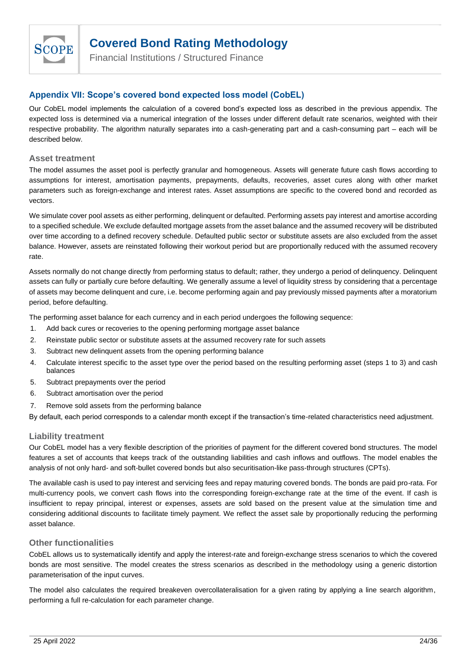

Financial Institutions / Structured Finance

### <span id="page-23-0"></span>**Appendix VII: Scope's covered bond expected loss model (CobEL)**

Our CobEL model implements the calculation of a covered bond's expected loss as described in the previous appendix. The expected loss is determined via a numerical integration of the losses under different default rate scenarios, weighted with their respective probability. The algorithm naturally separates into a cash-generating part and a cash-consuming part – each will be described below.

#### **Asset treatment**

The model assumes the asset pool is perfectly granular and homogeneous. Assets will generate future cash flows according to assumptions for interest, amortisation payments, prepayments, defaults, recoveries, asset cures along with other market parameters such as foreign-exchange and interest rates. Asset assumptions are specific to the covered bond and recorded as vectors.

We simulate cover pool assets as either performing, delinquent or defaulted. Performing assets pay interest and amortise according to a specified schedule. We exclude defaulted mortgage assets from the asset balance and the assumed recovery will be distributed over time according to a defined recovery schedule. Defaulted public sector or substitute assets are also excluded from the asset balance. However, assets are reinstated following their workout period but are proportionally reduced with the assumed recovery rate.

Assets normally do not change directly from performing status to default; rather, they undergo a period of delinquency. Delinquent assets can fully or partially cure before defaulting. We generally assume a level of liquidity stress by considering that a percentage of assets may become delinquent and cure, i.e. become performing again and pay previously missed payments after a moratorium period, before defaulting.

The performing asset balance for each currency and in each period undergoes the following sequence:

- 1. Add back cures or recoveries to the opening performing mortgage asset balance
- 2. Reinstate public sector or substitute assets at the assumed recovery rate for such assets
- 3. Subtract new delinquent assets from the opening performing balance
- 4. Calculate interest specific to the asset type over the period based on the resulting performing asset (steps 1 to 3) and cash balances
- 5. Subtract prepayments over the period
- 6. Subtract amortisation over the period
- 7. Remove sold assets from the performing balance

By default, each period corresponds to a calendar month except if the transaction's time-related characteristics need adjustment.

### **Liability treatment**

Our CobEL model has a very flexible description of the priorities of payment for the different covered bond structures. The model features a set of accounts that keeps track of the outstanding liabilities and cash inflows and outflows. The model enables the analysis of not only hard- and soft-bullet covered bonds but also securitisation-like pass-through structures (CPTs).

The available cash is used to pay interest and servicing fees and repay maturing covered bonds. The bonds are paid pro-rata. For multi-currency pools, we convert cash flows into the corresponding foreign-exchange rate at the time of the event. If cash is insufficient to repay principal, interest or expenses, assets are sold based on the present value at the simulation time and considering additional discounts to facilitate timely payment. We reflect the asset sale by proportionally reducing the performing asset balance.

### **Other functionalities**

CobEL allows us to systematically identify and apply the interest-rate and foreign-exchange stress scenarios to which the covered bonds are most sensitive. The model creates the stress scenarios as described in the methodology using a generic distortion parameterisation of the input curves.

The model also calculates the required breakeven overcollateralisation for a given rating by applying a line search algorithm, performing a full re-calculation for each parameter change.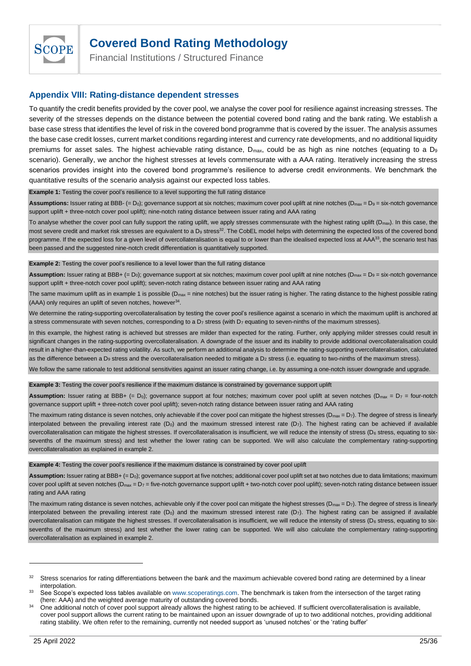

Financial Institutions / Structured Finance

### <span id="page-24-0"></span>**Appendix VIII: Rating-distance dependent stresses**

To quantify the credit benefits provided by the cover pool, we analyse the cover pool for resilience against increasing stresses. The severity of the stresses depends on the distance between the potential covered bond rating and the bank rating. We establish a base case stress that identifies the level of risk in the covered bond programme that is covered by the issuer. The analysis assumes the base case credit losses, current market conditions regarding interest and currency rate developments, and no additional liquidity premiums for asset sales. The highest achievable rating distance, D<sub>max</sub>, could be as high as nine notches (equating to a D<sub>9</sub> scenario). Generally, we anchor the highest stresses at levels commensurate with a AAA rating. Iteratively increasing the stress scenarios provides insight into the covered bond programme's resilience to adverse credit environments. We benchmark the quantitative results of the scenario analysis against our expected loss tables.

**Example 1:** Testing the cover pool's resilience to a level supporting the full rating distance

Assumptions: Issuer rating at BBB- (= D<sub>0</sub>); governance support at six notches; maximum cover pool uplift at nine notches (D<sub>max</sub> = D<sub>9</sub> = six-notch governance support uplift + three-notch cover pool uplift); nine-notch rating distance between issuer rating and AAA rating

To analyse whether the cover pool can fully support the rating uplift, we apply stresses commensurate with the highest rating uplift ( $D_{\text{max}}$ ). In this case, the most severe credit and market risk stresses are equivalent to a  $D_9$  stress<sup>32</sup>. The CobEL model helps with determining the expected loss of the covered bond programme. If the expected loss for a given level of overcollateralisation is equal to or lower than the idealised expected loss at AAA<sup>33</sup>, the scenario test has been passed and the suggested nine-notch credit differentiation is quantitatively supported.

#### **Example 2:** Testing the cover pool's resilience to a level lower than the full rating distance

Assumption: Issuer rating at BBB+ (= D<sub>0</sub>); governance support at six notches; maximum cover pool uplift at nine notches (D<sub>max</sub> = D<sub>9</sub> = six-notch governance support uplift + three-notch cover pool uplift); seven-notch rating distance between issuer rating and AAA rating

The same maximum uplift as in example 1 is possible ( $D_{\text{max}}$  = nine notches) but the issuer rating is higher. The rating distance to the highest possible rating (AAA) only requires an uplift of seven notches, however<sup>34</sup>.

We determine the rating-supporting overcollateralisation by testing the cover pool's resilience against a scenario in which the maximum uplift is anchored at a stress commensurate with seven notches, corresponding to a D<sub>7</sub> stress (with D<sub>7</sub> equating to seven-ninths of the maximum stresses).

In this example, the highest rating is achieved but stresses are milder than expected for the rating. Further, only applying milder stresses could result in significant changes in the rating-supporting overcollateralisation. A downgrade of the issuer and its inability to provide additional overcollateralisation could result in a higher-than-expected rating volatility. As such, we perform an additional analysis to determine the rating-supporting overcollateralisation, calculated as the difference between a D<sub>9</sub> stress and the overcollateralisation needed to mitigate a D<sub>2</sub> stress (i.e. equating to two-ninths of the maximum stress).

We follow the same rationale to test additional sensitivities against an issuer rating change, i.e. by assuming a one-notch issuer downgrade and upgrade.

#### **Example 3:** Testing the cover pool's resilience if the maximum distance is constrained by governance support uplift

**Assumption:** Issuer rating at BBB+ (=  $D_0$ ); governance support at four notches; maximum cover pool uplift at seven notches ( $D_{\text{max}} = D_7 =$  four-notch governance support uplift + three-notch cover pool uplift); seven-notch rating distance between issuer rating and AAA rating

The maximum rating distance is seven notches, only achievable if the cover pool can mitigate the highest stresses ( $D_{max} = D_7$ ). The degree of stress is linearly interpolated between the prevailing interest rate  $(D_0)$  and the maximum stressed interest rate  $(D_7)$ . The highest rating can be achieved if available overcollateralisation can mitigate the highest stresses. If overcollateralisation is insufficient, we will reduce the intensity of stress (D6 stress, equating to sixsevenths of the maximum stress) and test whether the lower rating can be supported. We will also calculate the complementary rating-supporting overcollateralisation as explained in example 2.

**Example 4:** Testing the cover pool's resilience if the maximum distance is constrained by cover pool uplift

Assumption: Issuer rating at BBB+ (= D<sub>0</sub>); governance support at five notches; additional cover pool uplift set at two notches due to data limitations; maximum cover pool uplift at seven notches ( $D_{\text{max}} = D_7$  = five-notch governance support uplift + two-notch cover pool uplift); seven-notch rating distance between issuer rating and AAA rating

The maximum rating distance is seven notches, achievable only if the cover pool can mitigate the highest stresses ( $D_{max} = D_7$ ). The degree of stress is linearly interpolated between the prevailing interest rate  $(D_0)$  and the maximum stressed interest rate  $(D_7)$ . The highest rating can be assigned if available overcollateralisation can mitigate the highest stresses. If overcollateralisation is insufficient, we will reduce the intensity of stress (D6 stress, equating to sixsevenths of the maximum stress) and test whether the lower rating can be supported. We will also calculate the complementary rating-supporting overcollateralisation as explained in example 2.

<sup>&</sup>lt;sup>32</sup> Stress scenarios for rating differentiations between the bank and the maximum achievable covered bond rating are determined by a linear interpolation.

See Scope's expected loss tables available on www.scoperatings.com. The benchmark is taken from the intersection of the target rating (here: AAA) and the weighted average maturity of outstanding covered bonds.

<sup>34</sup> One additional notch of cover pool support already allows the highest rating to be achieved. If sufficient overcollateralisation is available, cover pool support allows the current rating to be maintained upon an issuer downgrade of up to two additional notches, providing additional rating stability. We often refer to the remaining, currently not needed support as 'unused notches' or the 'rating buffer'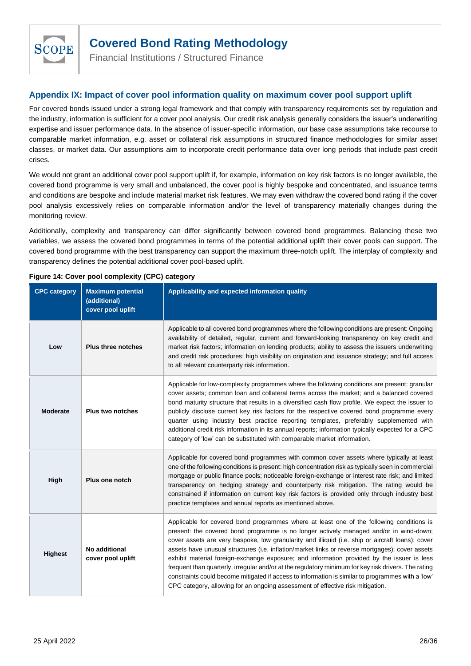

Financial Institutions / Structured Finance

### <span id="page-25-0"></span>**Appendix IX: Impact of cover pool information quality on maximum cover pool support uplift**

For covered bonds issued under a strong legal framework and that comply with transparency requirements set by regulation and the industry, information is sufficient for a cover pool analysis. Our credit risk analysis generally considers the issuer's underwriting expertise and issuer performance data. In the absence of issuer-specific information, our base case assumptions take recourse to comparable market information, e.g. asset or collateral risk assumptions in structured finance methodologies for similar asset classes, or market data. Our assumptions aim to incorporate credit performance data over long periods that include past credit crises.

We would not grant an additional cover pool support uplift if, for example, information on key risk factors is no longer available, the covered bond programme is very small and unbalanced, the cover pool is highly bespoke and concentrated, and issuance terms and conditions are bespoke and include material market risk features. We may even withdraw the covered bond rating if the cover pool analysis excessively relies on comparable information and/or the level of transparency materially changes during the monitoring review.

Additionally, complexity and transparency can differ significantly between covered bond programmes. Balancing these two variables, we assess the covered bond programmes in terms of the potential additional uplift their cover pools can support. The covered bond programme with the best transparency can support the maximum three-notch uplift. The interplay of complexity and transparency defines the potential additional cover pool-based uplift.

| <b>CPC category</b> | <b>Maximum potential</b><br>(additional)<br>cover pool uplift | Applicability and expected information quality                                                                                                                                                                                                                                                                                                                                                                                                                                                                                                                                                                                                                                                                                                                                         |
|---------------------|---------------------------------------------------------------|----------------------------------------------------------------------------------------------------------------------------------------------------------------------------------------------------------------------------------------------------------------------------------------------------------------------------------------------------------------------------------------------------------------------------------------------------------------------------------------------------------------------------------------------------------------------------------------------------------------------------------------------------------------------------------------------------------------------------------------------------------------------------------------|
| Low                 | <b>Plus three notches</b>                                     | Applicable to all covered bond programmes where the following conditions are present: Ongoing<br>availability of detailed, regular, current and forward-looking transparency on key credit and<br>market risk factors; information on lending products; ability to assess the issuers underwriting<br>and credit risk procedures; high visibility on origination and issuance strategy; and full access<br>to all relevant counterparty risk information.                                                                                                                                                                                                                                                                                                                              |
| <b>Moderate</b>     | <b>Plus two notches</b>                                       | Applicable for low-complexity programmes where the following conditions are present: granular<br>cover assets; common loan and collateral terms across the market; and a balanced covered<br>bond maturity structure that results in a diversified cash flow profile. We expect the issuer to<br>publicly disclose current key risk factors for the respective covered bond programme every<br>quarter using industry best practice reporting templates, preferably supplemented with<br>additional credit risk information in its annual reports; information typically expected for a CPC<br>category of 'low' can be substituted with comparable market information.                                                                                                                |
| High                | Plus one notch                                                | Applicable for covered bond programmes with common cover assets where typically at least<br>one of the following conditions is present: high concentration risk as typically seen in commercial<br>mortgage or public finance pools; noticeable foreign-exchange or interest rate risk; and limited<br>transparency on hedging strategy and counterparty risk mitigation. The rating would be<br>constrained if information on current key risk factors is provided only through industry best<br>practice templates and annual reports as mentioned above.                                                                                                                                                                                                                            |
| <b>Highest</b>      | No additional<br>cover pool uplift                            | Applicable for covered bond programmes where at least one of the following conditions is<br>present: the covered bond programme is no longer actively managed and/or in wind-down;<br>cover assets are very bespoke, low granularity and illiquid (i.e. ship or aircraft loans); cover<br>assets have unusual structures (i.e. inflation/market links or reverse mortgages); cover assets<br>exhibit material foreign-exchange exposure; and information provided by the issuer is less<br>frequent than quarterly, irregular and/or at the regulatory minimum for key risk drivers. The rating<br>constraints could become mitigated if access to information is similar to programmes with a 'low'<br>CPC category, allowing for an ongoing assessment of effective risk mitigation. |

### **Figure 14: Cover pool complexity (CPC) category**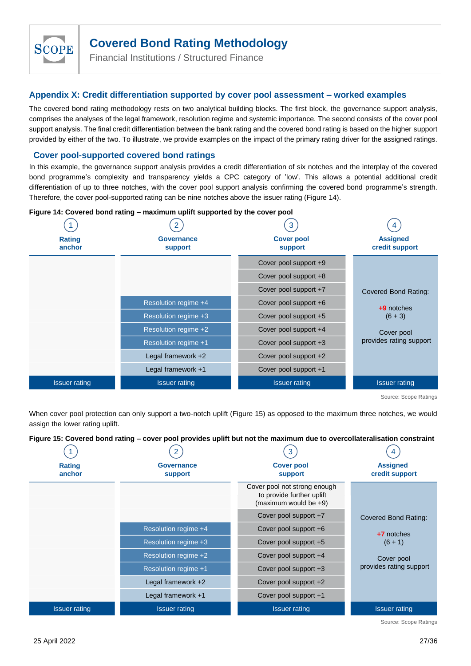

Financial Institutions / Structured Finance

### <span id="page-26-0"></span>**Appendix X: Credit differentiation supported by cover pool assessment – worked examples**

The covered bond rating methodology rests on two analytical building blocks. The first block, the governance support analysis, comprises the analyses of the legal framework, resolution regime and systemic importance. The second consists of the cover pool support analysis. The final credit differentiation between the bank rating and the covered bond rating is based on the higher support provided by either of the two. To illustrate, we provide examples on the impact of the primary rating driver for the assigned ratings.

### **Cover pool-supported covered bond ratings**

In this example, the governance support analysis provides a credit differentiation of six notches and the interplay of the covered bond programme's complexity and transparency yields a CPC category of 'low'. This allows a potential additional credit differentiation of up to three notches, with the cover pool support analysis confirming the covered bond programme's strength. Therefore, the cover pool-supported rating can be nine notches above the issuer rating [\(Figure 14\)](#page-26-1).

|                         | i iyarc 14. Ooyoroo bona raang – maximam apint sapportoa by the cover poor |                                     |                                   |  |
|-------------------------|----------------------------------------------------------------------------|-------------------------------------|-----------------------------------|--|
|                         |                                                                            | 3                                   |                                   |  |
| <b>Rating</b><br>anchor | <b>Governance</b><br>support                                               | <b>Cover pool</b><br><b>support</b> | <b>Assigned</b><br>credit support |  |
|                         |                                                                            | Cover pool support +9               |                                   |  |
|                         |                                                                            | Cover pool support +8               |                                   |  |
|                         |                                                                            | Cover pool support +7               | Covered Bond Rating:              |  |
|                         | Resolution regime +4                                                       | Cover pool support +6               | $+9$ notches                      |  |
|                         | Resolution regime +3                                                       | Cover pool support +5               | $(6 + 3)$                         |  |
|                         | Resolution regime +2                                                       | Cover pool support +4               | Cover pool                        |  |
|                         | Resolution regime +1                                                       | Cover pool support +3               | provides rating support           |  |
|                         | Legal framework $+2$                                                       | Cover pool support +2               |                                   |  |
|                         | Legal framework +1                                                         | Cover pool support +1               |                                   |  |
| <b>Issuer rating</b>    | <b>Issuer rating</b>                                                       | <b>Issuer rating</b>                | <b>Issuer rating</b>              |  |

#### <span id="page-26-1"></span>**Figure 14: Covered bond rating – maximum uplift supported by the cover pool**

#### <span id="page-26-2"></span>**Figure 15: Covered bond rating – cover pool provides uplift but not the maximum due to overcollateralisation constraint**

|                                                                                                                                                                 |                                                                                                                         | Cover pool support +9                                                              |                             |
|-----------------------------------------------------------------------------------------------------------------------------------------------------------------|-------------------------------------------------------------------------------------------------------------------------|------------------------------------------------------------------------------------|-----------------------------|
|                                                                                                                                                                 |                                                                                                                         | Cover pool support +8                                                              |                             |
|                                                                                                                                                                 |                                                                                                                         | Cover pool support +7                                                              | Covered Bond Rating:        |
|                                                                                                                                                                 | Resolution regime +4                                                                                                    | Cover pool support +6                                                              | $+9$ notches                |
|                                                                                                                                                                 | Resolution regime +3                                                                                                    | Cover pool support +5                                                              | $(6 + 3)$                   |
|                                                                                                                                                                 | Resolution regime +2                                                                                                    | Cover pool support +4                                                              | Cover pool                  |
|                                                                                                                                                                 | Resolution regime +1                                                                                                    | Cover pool support +3                                                              | provides rating support     |
|                                                                                                                                                                 | Legal framework +2                                                                                                      | Cover pool support +2                                                              |                             |
|                                                                                                                                                                 | Legal framework +1                                                                                                      | Cover pool support +1                                                              |                             |
| <b>Issuer rating</b>                                                                                                                                            | <b>Issuer rating</b>                                                                                                    | <b>Issuer rating</b>                                                               | <b>Issuer rating</b>        |
|                                                                                                                                                                 |                                                                                                                         |                                                                                    | Source: Scope Ratings       |
| When cover pool protection can only support a two-notch uplift (Figure 15) as opposed to the maximum three notches, we would<br>assign the lower rating uplift. |                                                                                                                         |                                                                                    |                             |
|                                                                                                                                                                 | Figure 15: Covered bond rating - cover pool provides uplift but not the maximum due to overcollateralisation constraint |                                                                                    |                             |
| <b>Rating</b>                                                                                                                                                   | <b>Governance</b>                                                                                                       | 3<br><b>Cover pool</b>                                                             | <b>Assigned</b>             |
| anchor                                                                                                                                                          | support                                                                                                                 | support                                                                            | credit support              |
|                                                                                                                                                                 |                                                                                                                         | Cover pool not strong enough<br>to provide further uplift<br>(maximum would be +9) |                             |
|                                                                                                                                                                 |                                                                                                                         | Cover pool support +7                                                              | <b>Covered Bond Rating:</b> |
|                                                                                                                                                                 | Resolution regime +4                                                                                                    | Cover pool support +6                                                              |                             |
|                                                                                                                                                                 | Resolution regime +3                                                                                                    | Cover pool support +5                                                              | $+7$ notches<br>$(6 + 1)$   |
|                                                                                                                                                                 | Resolution regime +2                                                                                                    | Cover pool support +4                                                              | Cover pool                  |
|                                                                                                                                                                 | Resolution regime +1                                                                                                    | Cover pool support +3                                                              | provides rating support     |
|                                                                                                                                                                 | Legal framework +2                                                                                                      | Cover pool support +2                                                              |                             |
|                                                                                                                                                                 | Legal framework +1                                                                                                      | Cover pool support +1                                                              |                             |
| <b>Issuer rating</b>                                                                                                                                            | <b>Issuer rating</b>                                                                                                    | <b>Issuer rating</b>                                                               | <b>Issuer rating</b>        |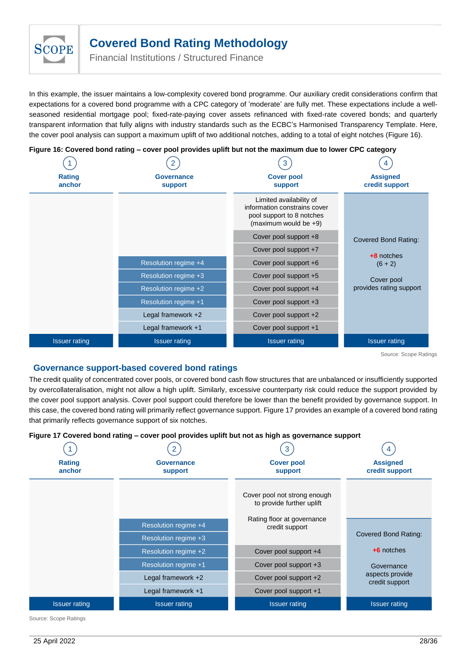

Financial Institutions / Structured Finance

In this example, the issuer maintains a low-complexity covered bond programme. Our auxiliary credit considerations confirm that expectations for a covered bond programme with a CPC category of 'moderate' are fully met. These expectations include a wellseasoned residential mortgage pool; fixed-rate-paying cover assets refinanced with fixed-rate covered bonds; and quarterly transparent information that fully aligns with industry standards such as the ECBC's Harmonised Transparency Template. Here, the cover pool analysis can support a maximum uplift of two additional notches, adding to a total of eight notches [\(Figure 16\)](#page-27-0).

|                         |                       | 3                                                                                                             |                                   |
|-------------------------|-----------------------|---------------------------------------------------------------------------------------------------------------|-----------------------------------|
| <b>Rating</b><br>anchor | Governance<br>support | <b>Cover pool</b><br>support                                                                                  | <b>Assigned</b><br>credit support |
|                         |                       | Limited availability of<br>information constrains cover<br>pool support to 8 notches<br>(maximum would be +9) |                                   |
|                         |                       | Cover pool support +8                                                                                         | <b>Covered Bond Rating:</b>       |
|                         |                       | Cover pool support +7                                                                                         | +8 notches                        |
|                         | Resolution regime +4  | Cover pool support +6                                                                                         | $(6 + 2)$                         |
|                         | Resolution regime +3  | Cover pool support +5                                                                                         | Cover pool                        |
|                         | Resolution regime +2  | Cover pool support +4                                                                                         | provides rating support           |
|                         | Resolution regime +1  | Cover pool support +3                                                                                         |                                   |
|                         | Legal framework +2    | Cover pool support +2                                                                                         |                                   |
|                         | Legal framework +1    | Cover pool support +1                                                                                         |                                   |
| <b>Issuer rating</b>    | <b>Issuer rating</b>  | <b>Issuer rating</b>                                                                                          | <b>Issuer rating</b>              |

### <span id="page-27-0"></span>**Figure 16: Covered bond rating – cover pool provides uplift but not the maximum due to lower CPC category**

Source: Scope Ratings

### **Governance support-based covered bond ratings**

The credit quality of concentrated cover pools, or covered bond cash flow structures that are unbalanced or insufficiently supported by overcollateralisation, might not allow a high uplift. Similarly, excessive counterparty risk could reduce the support provided by the cover pool support analysis. Cover pool support could therefore be lower than the benefit provided by governance support. In this case, the covered bond rating will primarily reflect governance support[. Figure 17](#page-27-1) provides an example of a covered bond rating that primarily reflects governance support of six notches.

### <span id="page-27-1"></span>**Figure 17 Covered bond rating – cover pool provides uplift but not as high as governance support**

|                         |                              | 3                                                         |                                   |
|-------------------------|------------------------------|-----------------------------------------------------------|-----------------------------------|
| <b>Rating</b><br>anchor | Governance<br><b>support</b> | <b>Cover pool</b><br>support                              | <b>Assigned</b><br>credit support |
|                         |                              | Cover pool not strong enough<br>to provide further uplift |                                   |
|                         | Resolution regime +4         | Rating floor at governance<br>credit support              |                                   |
|                         | Resolution regime +3         |                                                           | Covered Bond Rating:              |
|                         | Resolution regime +2         | Cover pool support +4                                     | $+6$ notches                      |
|                         | Resolution regime +1         | Cover pool support +3                                     | Governance                        |
|                         | Legal framework +2           | Cover pool support +2                                     | aspects provide<br>credit support |
|                         | Legal framework +1           | Cover pool support +1                                     |                                   |
| <b>Issuer rating</b>    | <b>Issuer rating</b>         | <b>Issuer rating</b>                                      | <b>Issuer rating</b>              |

Source: Scope Ratings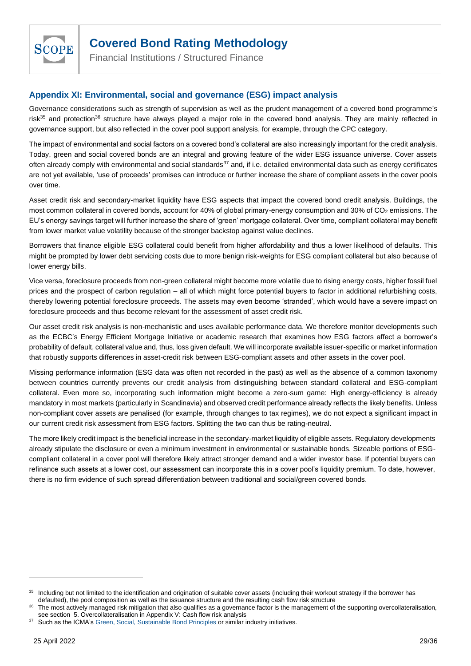

Financial Institutions / Structured Finance

### <span id="page-28-0"></span>**Appendix XI: Environmental, social and governance (ESG) impact analysis**

Governance considerations such as strength of supervision as well as the prudent management of a covered bond programme's risk $35$  and protection<sup>36</sup> structure have always played a major role in the covered bond analysis. They are mainly reflected in governance support, but also reflected in the cover pool support analysis, for example, through the CPC category.

The impact of environmental and social factors on a covered bond's collateral are also increasingly important for the credit analysis. Today, green and social covered bonds are an integral and growing feature of the wider ESG issuance universe. Cover assets often already comply with environmental and social standards $37$  and, if i.e. detailed environmental data such as energy certificates are not yet available, 'use of proceeds' promises can introduce or further increase the share of compliant assets in the cover pools over time.

Asset credit risk and secondary-market liquidity have ESG aspects that impact the covered bond credit analysis. Buildings, the most common collateral in covered bonds, account for 40% of global primary-energy consumption and 30% of CO<sup>2</sup> emissions. The EU's energy savings target will further increase the share of 'green' mortgage collateral. Over time, compliant collateral may benefit from lower market value volatility because of the stronger backstop against value declines.

Borrowers that finance eligible ESG collateral could benefit from higher affordability and thus a lower likelihood of defaults. This might be prompted by lower debt servicing costs due to more benign risk-weights for ESG compliant collateral but also because of lower energy bills.

Vice versa, foreclosure proceeds from non-green collateral might become more volatile due to rising energy costs, higher fossil fuel prices and the prospect of carbon regulation – all of which might force potential buyers to factor in additional refurbishing costs, thereby lowering potential foreclosure proceeds. The assets may even become 'stranded', which would have a severe impact on foreclosure proceeds and thus become relevant for the assessment of asset credit risk.

Our asset credit risk analysis is non-mechanistic and uses available performance data. We therefore monitor developments such as the ECBC's Energy Efficient Mortgage Initiative or academic research that examines how ESG factors affect a borrower's probability of default, collateral value and, thus, loss given default. We will incorporate available issuer-specific or market information that robustly supports differences in asset-credit risk between ESG-compliant assets and other assets in the cover pool.

Missing performance information (ESG data was often not recorded in the past) as well as the absence of a common taxonomy between countries currently prevents our credit analysis from distinguishing between standard collateral and ESG-compliant collateral. Even more so, incorporating such information might become a zero-sum game: High energy-efficiency is already mandatory in most markets (particularly in Scandinavia) and observed credit performance already reflects the likely benefits. Unless non-compliant cover assets are penalised (for example, through changes to tax regimes), we do not expect a significant impact in our current credit risk assessment from ESG factors. Splitting the two can thus be rating-neutral.

The more likely credit impact is the beneficial increase in the secondary-market liquidity of eligible assets. Regulatory developments already stipulate the disclosure or even a minimum investment in environmental or sustainable bonds. Sizeable portions of ESGcompliant collateral in a cover pool will therefore likely attract stronger demand and a wider investor base. If potential buyers can refinance such assets at a lower cost, our assessment can incorporate this in a cover pool's liquidity premium. To date, however, there is no firm evidence of such spread differentiation between traditional and social/green covered bonds.

<sup>&</sup>lt;sup>35</sup> Including but not limited to the identification and origination of suitable cover assets (including their workout strategy if the borrower has defaulted), the pool composition as well as the issuance structure and the resulting cash flow risk structure

The most actively managed risk mitigation that also qualifies as a governance factor is the management of the supporting overcollateralisation, see section 5. Overcollateralisation in Appendix V: [Cash flow risk analysis](#page-16-0)

<sup>&</sup>lt;sup>37</sup> Such as the ICMA'[s Green, Social, Sustainable Bond Principles](https://www.icmagroup.org/green-social-and-sustainability-bonds/) or similar industry initiatives.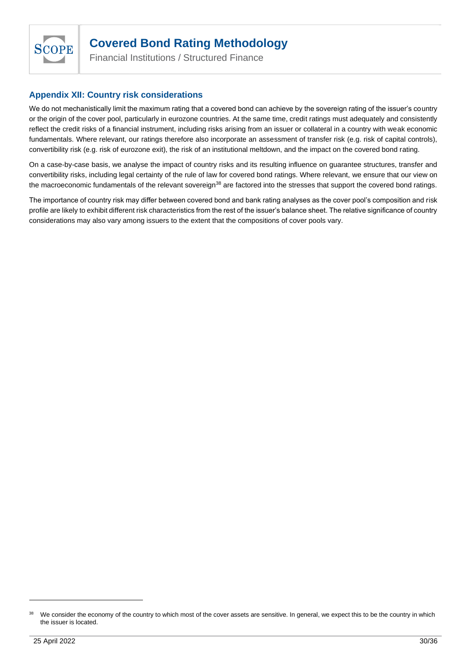

Financial Institutions / Structured Finance

### <span id="page-29-0"></span>**Appendix XII: Country risk considerations**

We do not mechanistically limit the maximum rating that a covered bond can achieve by the sovereign rating of the issuer's country or the origin of the cover pool, particularly in eurozone countries. At the same time, credit ratings must adequately and consistently reflect the credit risks of a financial instrument, including risks arising from an issuer or collateral in a country with weak economic fundamentals. Where relevant, our ratings therefore also incorporate an assessment of transfer risk (e.g. risk of capital controls), convertibility risk (e.g. risk of eurozone exit), the risk of an institutional meltdown, and the impact on the covered bond rating.

On a case-by-case basis, we analyse the impact of country risks and its resulting influence on guarantee structures, transfer and convertibility risks, including legal certainty of the rule of law for covered bond ratings. Where relevant, we ensure that our view on the macroeconomic fundamentals of the relevant sovereign<sup>38</sup> are factored into the stresses that support the covered bond ratings.

The importance of country risk may differ between covered bond and bank rating analyses as the cover pool's composition and risk profile are likely to exhibit different risk characteristics from the rest of the issuer's balance sheet. The relative significance of country considerations may also vary among issuers to the extent that the compositions of cover pools vary.

<sup>&</sup>lt;sup>38</sup> We consider the economy of the country to which most of the cover assets are sensitive. In general, we expect this to be the country in which the issuer is located.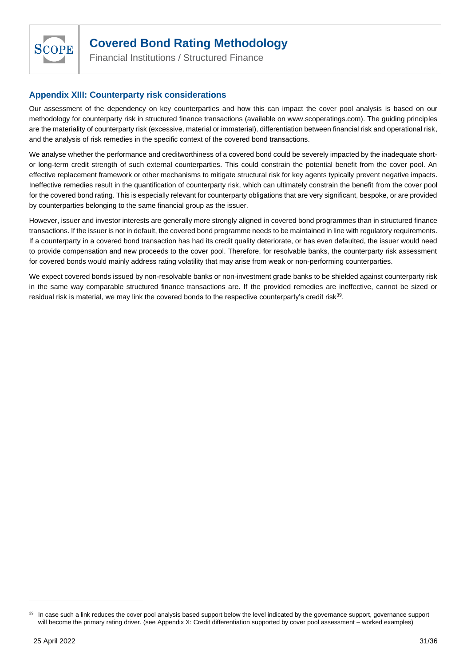

Financial Institutions / Structured Finance

### <span id="page-30-0"></span>**Appendix XIII: Counterparty risk considerations**

Our assessment of the dependency on key counterparties and how this can impact the cover pool analysis is based on our methodology for counterparty risk in structured finance transactions (available on www.scoperatings.com). The guiding principles are the materiality of counterparty risk (excessive, material or immaterial), differentiation between financial risk and operational risk, and the analysis of risk remedies in the specific context of the covered bond transactions.

We analyse whether the performance and creditworthiness of a covered bond could be severely impacted by the inadequate shortor long-term credit strength of such external counterparties. This could constrain the potential benefit from the cover pool. An effective replacement framework or other mechanisms to mitigate structural risk for key agents typically prevent negative impacts. Ineffective remedies result in the quantification of counterparty risk, which can ultimately constrain the benefit from the cover pool for the covered bond rating. This is especially relevant for counterparty obligations that are very significant, bespoke, or are provided by counterparties belonging to the same financial group as the issuer.

However, issuer and investor interests are generally more strongly aligned in covered bond programmes than in structured finance transactions. If the issuer is not in default, the covered bond programme needs to be maintained in line with regulatory requirements. If a counterparty in a covered bond transaction has had its credit quality deteriorate, or has even defaulted, the issuer would need to provide compensation and new proceeds to the cover pool. Therefore, for resolvable banks, the counterparty risk assessment for covered bonds would mainly address rating volatility that may arise from weak or non-performing counterparties.

We expect covered bonds issued by non-resolvable banks or non-investment grade banks to be shielded against counterparty risk in the same way comparable structured finance transactions are. If the provided remedies are ineffective, cannot be sized or residual risk is material, we may link the covered bonds to the respective counterparty's credit risk $^{\rm 39}$ .

<sup>&</sup>lt;sup>39</sup> In case such a link reduces the cover pool analysis based support below the level indicated by the governance support, governance support will become the primary rating driver. (see [Appendix X: Credit differentiation supported by cover pool assessment](#page-26-0) – worked examples)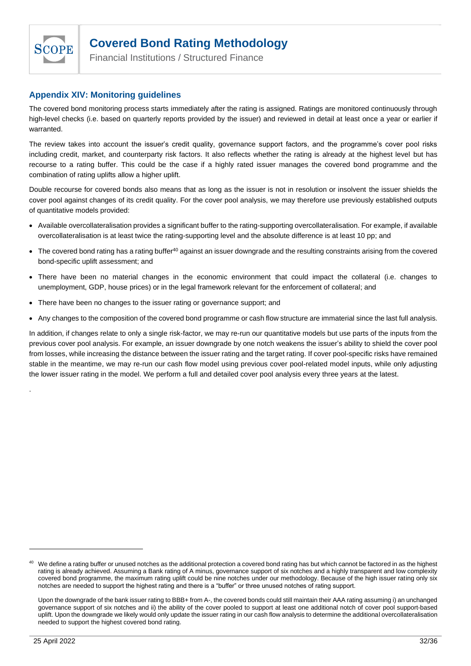

Financial Institutions / Structured Finance

### <span id="page-31-0"></span>**Appendix XIV: Monitoring guidelines**

The covered bond monitoring process starts immediately after the rating is assigned. Ratings are monitored continuously through high-level checks (i.e. based on quarterly reports provided by the issuer) and reviewed in detail at least once a year or earlier if warranted.

The review takes into account the issuer's credit quality, governance support factors, and the programme's cover pool risks including credit, market, and counterparty risk factors. It also reflects whether the rating is already at the highest level but has recourse to a rating buffer. This could be the case if a highly rated issuer manages the covered bond programme and the combination of rating uplifts allow a higher uplift.

Double recourse for covered bonds also means that as long as the issuer is not in resolution or insolvent the issuer shields the cover pool against changes of its credit quality. For the cover pool analysis, we may therefore use previously established outputs of quantitative models provided:

- Available overcollateralisation provides a significant buffer to the rating-supporting overcollateralisation. For example, if available overcollateralisation is at least twice the rating-supporting level and the absolute difference is at least 10 pp; and
- The covered bond rating has a rating buffer<sup>40</sup> against an issuer downgrade and the resulting constraints arising from the covered bond-specific uplift assessment; and
- There have been no material changes in the economic environment that could impact the collateral (i.e. changes to unemployment, GDP, house prices) or in the legal framework relevant for the enforcement of collateral; and
- There have been no changes to the issuer rating or governance support; and
- Any changes to the composition of the covered bond programme or cash flow structure are immaterial since the last full analysis.

In addition, if changes relate to only a single risk-factor, we may re-run our quantitative models but use parts of the inputs from the previous cover pool analysis. For example, an issuer downgrade by one notch weakens the issuer's ability to shield the cover pool from losses, while increasing the distance between the issuer rating and the target rating. If cover pool-specific risks have remained stable in the meantime, we may re-run our cash flow model using previous cover pool-related model inputs, while only adjusting the lower issuer rating in the model. We perform a full and detailed cover pool analysis every three years at the latest.

.

<sup>&</sup>lt;sup>40</sup> We define a rating buffer or unused notches as the additional protection a covered bond rating has but which cannot be factored in as the highest rating is already achieved. Assuming a Bank rating of A minus, governance support of six notches and a highly transparent and low complexity covered bond programme, the maximum rating uplift could be nine notches under our methodology. Because of the high issuer rating only six notches are needed to support the highest rating and there is a "buffer" or three unused notches of rating support.

Upon the downgrade of the bank issuer rating to BBB+ from A-, the covered bonds could still maintain their AAA rating assuming i) an unchanged governance support of six notches and ii) the ability of the cover pooled to support at least one additional notch of cover pool support-based uplift. Upon the downgrade we likely would only update the issuer rating in our cash flow analysis to determine the additional overcollateralisation needed to support the highest covered bond rating.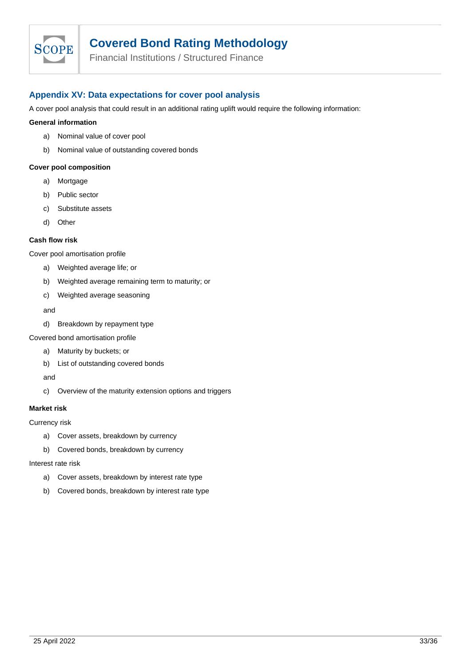

Financial Institutions / Structured Finance

### <span id="page-32-0"></span>**Appendix XV: Data expectations for cover pool analysis**

A cover pool analysis that could result in an additional rating uplift would require the following information:

#### **General information**

- a) Nominal value of cover pool
- b) Nominal value of outstanding covered bonds

#### **Cover pool composition**

- a) Mortgage
- b) Public sector
- c) Substitute assets
- d) Other

#### **Cash flow risk**

Cover pool amortisation profile

- a) Weighted average life; or
- b) Weighted average remaining term to maturity; or
- c) Weighted average seasoning

#### and

d) Breakdown by repayment type

#### Covered bond amortisation profile

- a) Maturity by buckets; or
- b) List of outstanding covered bonds

and

c) Overview of the maturity extension options and triggers

#### **Market risk**

Currency risk

- a) Cover assets, breakdown by currency
- b) Covered bonds, breakdown by currency

#### Interest rate risk

- a) Cover assets, breakdown by interest rate type
- b) Covered bonds, breakdown by interest rate type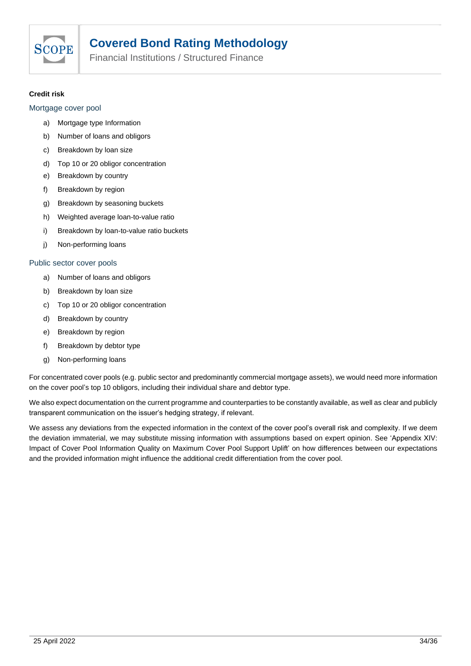

Financial Institutions / Structured Finance

### **Credit risk**

### Mortgage cover pool

- a) Mortgage type Information
- b) Number of loans and obligors
- c) Breakdown by loan size
- d) Top 10 or 20 obligor concentration
- e) Breakdown by country
- f) Breakdown by region
- g) Breakdown by seasoning buckets
- h) Weighted average loan-to-value ratio
- i) Breakdown by loan-to-value ratio buckets
- j) Non-performing loans

### Public sector cover pools

- a) Number of loans and obligors
- b) Breakdown by loan size
- c) Top 10 or 20 obligor concentration
- d) Breakdown by country
- e) Breakdown by region
- f) Breakdown by debtor type
- g) Non-performing loans

For concentrated cover pools (e.g. public sector and predominantly commercial mortgage assets), we would need more information on the cover pool's top 10 obligors, including their individual share and debtor type.

We also expect documentation on the current programme and counterparties to be constantly available, as well as clear and publicly transparent communication on the issuer's hedging strategy, if relevant.

We assess any deviations from the expected information in the context of the cover pool's overall risk and complexity. If we deem the deviation immaterial, we may substitute missing information with assumptions based on expert opinion. See 'Appendix XIV: Impact of Cover Pool Information Quality on Maximum Cover Pool Support Uplift' on how differences between our expectations and the provided information might influence the additional credit differentiation from the cover pool.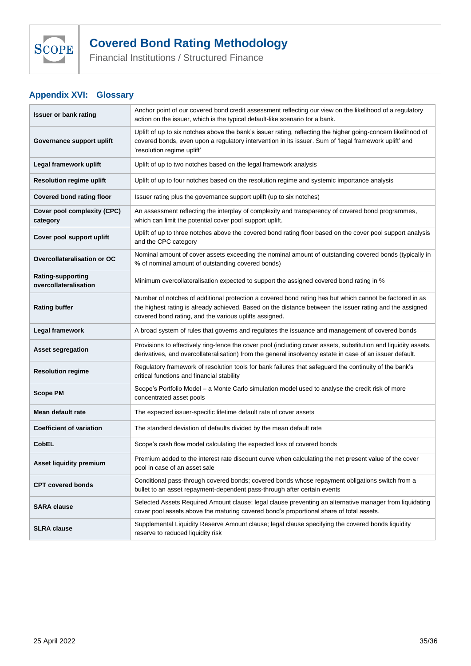

Financial Institutions / Structured Finance

### <span id="page-34-0"></span>**Appendix XVI: Glossary**

| <b>Issuer or bank rating</b>                      | Anchor point of our covered bond credit assessment reflecting our view on the likelihood of a regulatory<br>action on the issuer, which is the typical default-like scenario for a bank.                                                                                      |  |
|---------------------------------------------------|-------------------------------------------------------------------------------------------------------------------------------------------------------------------------------------------------------------------------------------------------------------------------------|--|
| Governance support uplift                         | Uplift of up to six notches above the bank's issuer rating, reflecting the higher going-concern likelihood of<br>covered bonds, even upon a regulatory intervention in its issuer. Sum of 'legal framework uplift' and<br>'resolution regime uplift'                          |  |
| Legal framework uplift                            | Uplift of up to two notches based on the legal framework analysis                                                                                                                                                                                                             |  |
| <b>Resolution regime uplift</b>                   | Uplift of up to four notches based on the resolution regime and systemic importance analysis                                                                                                                                                                                  |  |
| <b>Covered bond rating floor</b>                  | Issuer rating plus the governance support uplift (up to six notches)                                                                                                                                                                                                          |  |
| Cover pool complexity (CPC)<br>category           | An assessment reflecting the interplay of complexity and transparency of covered bond programmes,<br>which can limit the potential cover pool support uplift.                                                                                                                 |  |
| Cover pool support uplift                         | Uplift of up to three notches above the covered bond rating floor based on the cover pool support analysis<br>and the CPC category                                                                                                                                            |  |
| Overcollateralisation or OC                       | Nominal amount of cover assets exceeding the nominal amount of outstanding covered bonds (typically in<br>% of nominal amount of outstanding covered bonds)                                                                                                                   |  |
| <b>Rating-supporting</b><br>overcollateralisation | Minimum overcollateralisation expected to support the assigned covered bond rating in %                                                                                                                                                                                       |  |
| <b>Rating buffer</b>                              | Number of notches of additional protection a covered bond rating has but which cannot be factored in as<br>the highest rating is already achieved. Based on the distance between the issuer rating and the assigned<br>covered bond rating, and the various uplifts assigned. |  |
| Legal framework                                   | A broad system of rules that governs and regulates the issuance and management of covered bonds                                                                                                                                                                               |  |
| <b>Asset segregation</b>                          | Provisions to effectively ring-fence the cover pool (including cover assets, substitution and liquidity assets,<br>derivatives, and overcollateralisation) from the general insolvency estate in case of an issuer default.                                                   |  |
| <b>Resolution regime</b>                          | Regulatory framework of resolution tools for bank failures that safeguard the continuity of the bank's<br>critical functions and financial stability                                                                                                                          |  |
| <b>Scope PM</b>                                   | Scope's Portfolio Model - a Monte Carlo simulation model used to analyse the credit risk of more<br>concentrated asset pools                                                                                                                                                  |  |
| Mean default rate                                 | The expected issuer-specific lifetime default rate of cover assets                                                                                                                                                                                                            |  |
| <b>Coefficient of variation</b>                   | The standard deviation of defaults divided by the mean default rate                                                                                                                                                                                                           |  |
| <b>CobEL</b>                                      | Scope's cash flow model calculating the expected loss of covered bonds                                                                                                                                                                                                        |  |
| <b>Asset liquidity premium</b>                    | Premium added to the interest rate discount curve when calculating the net present value of the cover<br>pool in case of an asset sale                                                                                                                                        |  |
| <b>CPT covered bonds</b>                          | Conditional pass-through covered bonds; covered bonds whose repayment obligations switch from a<br>bullet to an asset repayment-dependent pass-through after certain events                                                                                                   |  |
| <b>SARA clause</b>                                | Selected Assets Required Amount clause; legal clause preventing an alternative manager from liquidating<br>cover pool assets above the maturing covered bond's proportional share of total assets.                                                                            |  |
| <b>SLRA clause</b>                                | Supplemental Liquidity Reserve Amount clause; legal clause specifying the covered bonds liquidity<br>reserve to reduced liquidity risk                                                                                                                                        |  |